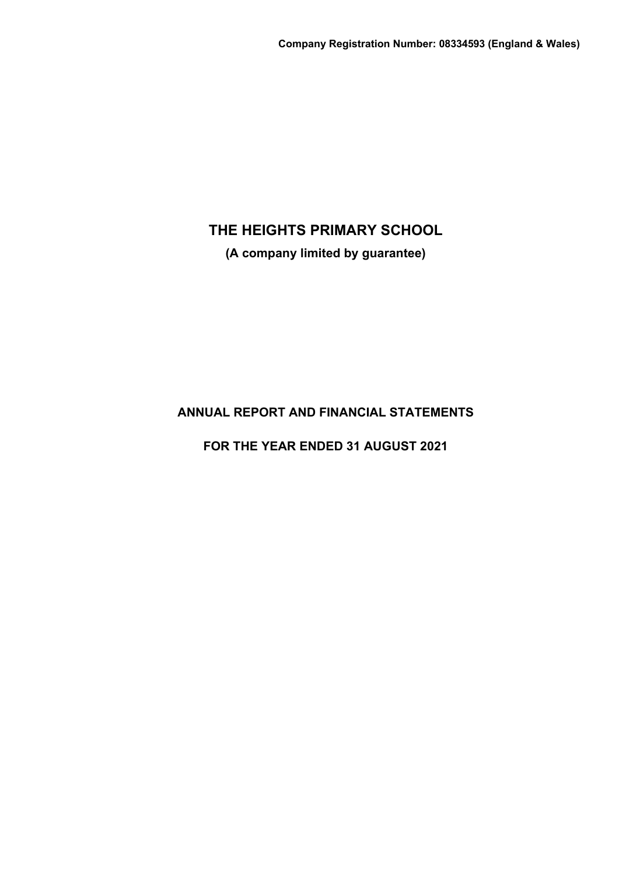**(A company limited by guarantee)**

**ANNUAL REPORT AND FINANCIAL STATEMENTS**

**FOR THE YEAR ENDED 31 AUGUST 2021**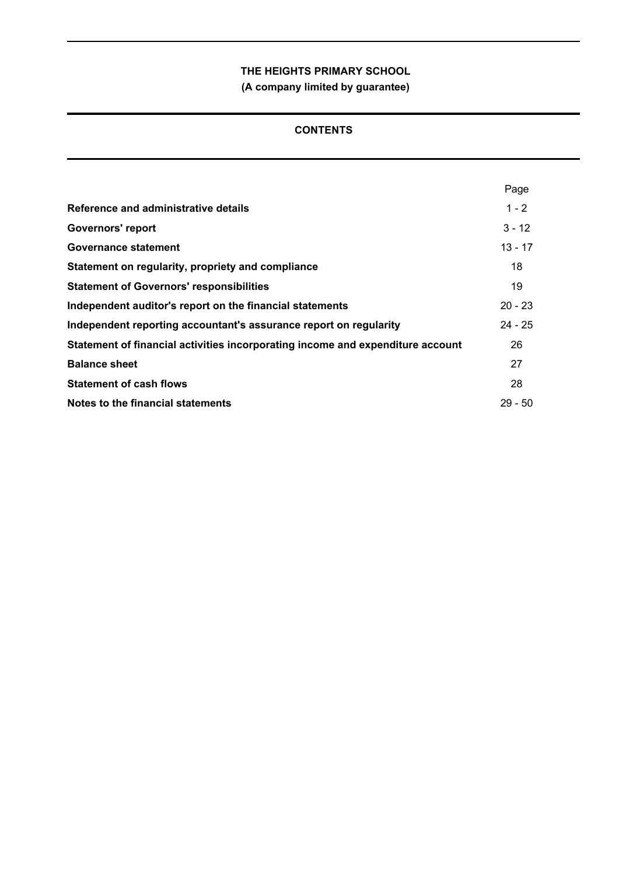**(A company limited by guarantee)**

# **CONTENTS**

|                                                                                | Page      |
|--------------------------------------------------------------------------------|-----------|
| Reference and administrative details                                           | $1 - 2$   |
| <b>Governors' report</b>                                                       | $3 - 12$  |
| Governance statement                                                           | $13 - 17$ |
| Statement on regularity, propriety and compliance                              | 18        |
| <b>Statement of Governors' responsibilities</b>                                | 19        |
| Independent auditor's report on the financial statements                       | $20 - 23$ |
| Independent reporting accountant's assurance report on regularity              | $24 - 25$ |
| Statement of financial activities incorporating income and expenditure account | 26        |
| <b>Balance sheet</b>                                                           | 27        |
| <b>Statement of cash flows</b>                                                 | 28        |
| Notes to the financial statements                                              | $29 - 50$ |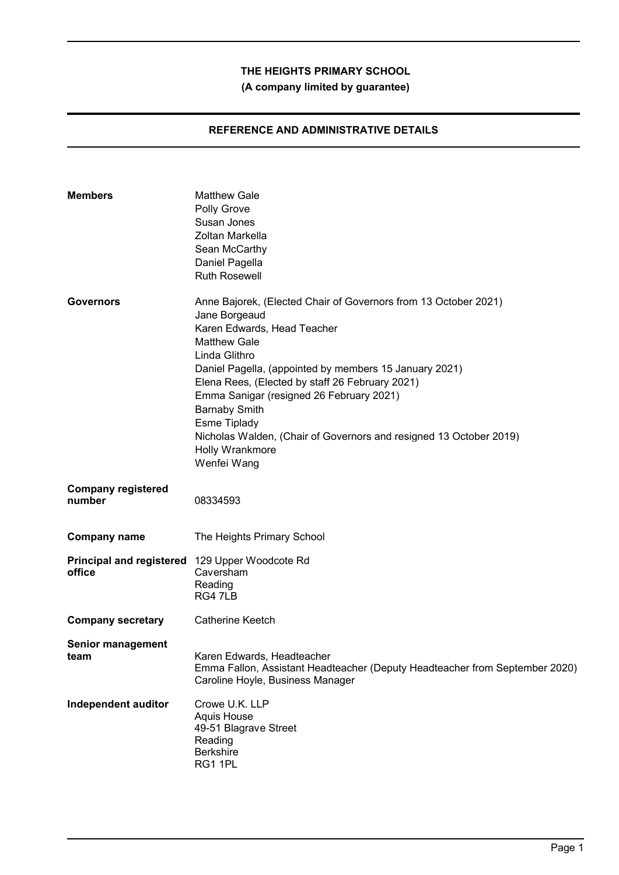**(A company limited by guarantee)**

# **REFERENCE AND ADMINISTRATIVE DETAILS**

| <b>Members</b>                                           | <b>Matthew Gale</b><br>Polly Grove<br>Susan Jones<br>Zoltan Markella<br>Sean McCarthy<br>Daniel Pagella<br><b>Ruth Rosewell</b>                                                                                                                                                                                                                                                                                                                                  |
|----------------------------------------------------------|------------------------------------------------------------------------------------------------------------------------------------------------------------------------------------------------------------------------------------------------------------------------------------------------------------------------------------------------------------------------------------------------------------------------------------------------------------------|
| <b>Governors</b>                                         | Anne Bajorek, (Elected Chair of Governors from 13 October 2021)<br>Jane Borgeaud<br>Karen Edwards, Head Teacher<br><b>Matthew Gale</b><br>Linda Glithro<br>Daniel Pagella, (appointed by members 15 January 2021)<br>Elena Rees, (Elected by staff 26 February 2021)<br>Emma Sanigar (resigned 26 February 2021)<br><b>Barnaby Smith</b><br>Esme Tiplady<br>Nicholas Walden, (Chair of Governors and resigned 13 October 2019)<br>Holly Wrankmore<br>Wenfei Wang |
| <b>Company registered</b><br>number                      | 08334593                                                                                                                                                                                                                                                                                                                                                                                                                                                         |
| <b>Company name</b>                                      | The Heights Primary School                                                                                                                                                                                                                                                                                                                                                                                                                                       |
| Principal and registered 129 Upper Woodcote Rd<br>office | Caversham<br>Reading<br>RG4 7LB                                                                                                                                                                                                                                                                                                                                                                                                                                  |
| <b>Company secretary</b>                                 | <b>Catherine Keetch</b>                                                                                                                                                                                                                                                                                                                                                                                                                                          |
| <b>Senior management</b><br>τeam                         | Karen Edwards, Headteacher<br>Emma Fallon, Assistant Headteacher (Deputy Headteacher from September 2020)<br>Caroline Hoyle, Business Manager                                                                                                                                                                                                                                                                                                                    |
| Independent auditor                                      | Crowe U.K. LLP<br>Aquis House                                                                                                                                                                                                                                                                                                                                                                                                                                    |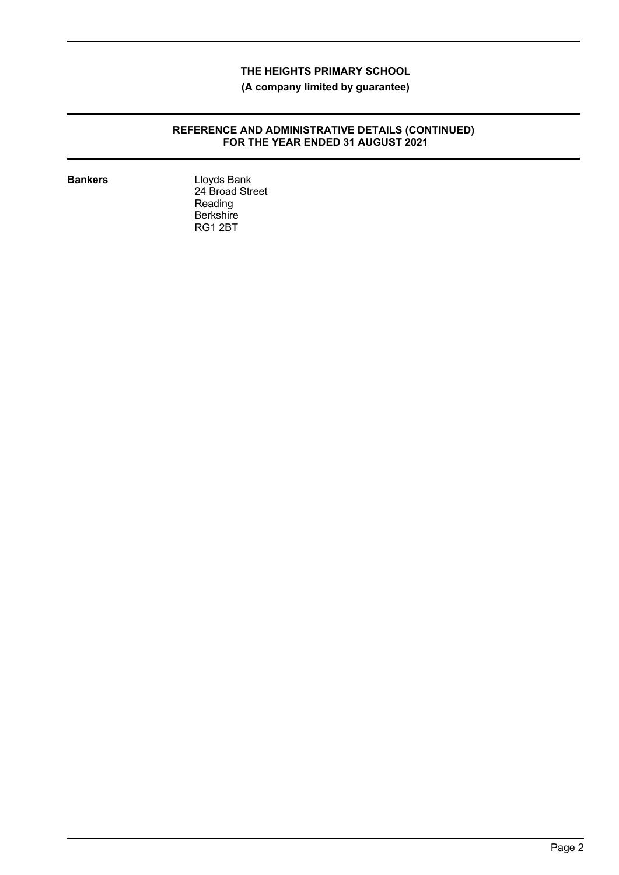**(A company limited by guarantee)**

# **REFERENCE AND ADMINISTRATIVE DETAILS (CONTINUED) FOR THE YEAR ENDED 31 AUGUST 2021**

**Bankers** Lloyds Bank 24 Broad Street Reading **Berkshire** RG1 2BT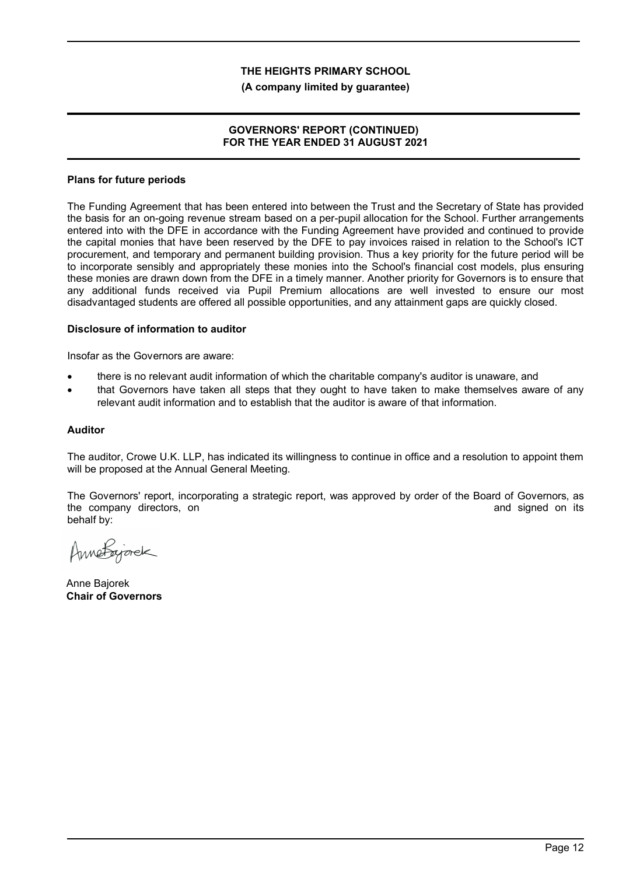#### **(A company limited by guarantee)**

# **GOVERNORS' REPORT (CONTINUED) FOR THE YEAR ENDED 31 AUGUST 2021**

#### **Plans for future periods**

The Funding Agreement that has been entered into between the Trust and the Secretary of State has provided the basis for an on-going revenue stream based on a per-pupil allocation for the School. Further arrangements entered into with the DFE in accordance with the Funding Agreement have provided and continued to provide the capital monies that have been reserved by the DFE to pay invoices raised in relation to the School's ICT procurement, and temporary and permanent building provision. Thus a key priority for the future period will be to incorporate sensibly and appropriately these monies into the School's financial cost models, plus ensuring these monies are drawn down from the DFE in a timely manner. Another priority for Governors is to ensure that any additional funds received via Pupil Premium allocations are well invested to ensure our most disadvantaged students are offered all possible opportunities, and any attainment gaps are quickly closed.

#### **Disclosure of information to auditor**

Insofar as the Governors are aware:

- there is no relevant audit information of which the charitable company's auditor is unaware, and
- that Governors have taken all steps that they ought to have taken to make themselves aware of any relevant audit information and to establish that the auditor is aware of that information.

## **Auditor**

The auditor, Crowe U.K. LLP, has indicated its willingness to continue in office and a resolution to appoint them will be proposed at the Annual General Meeting.

The Governors' report, incorporating a strategic report, was approved by order of the Board of Governors, as the company directors, on 14th December 2021 **the company directors**, on the December 2021 behalf by:

Annetagorek

Anne Bajorek **Chair of Governors**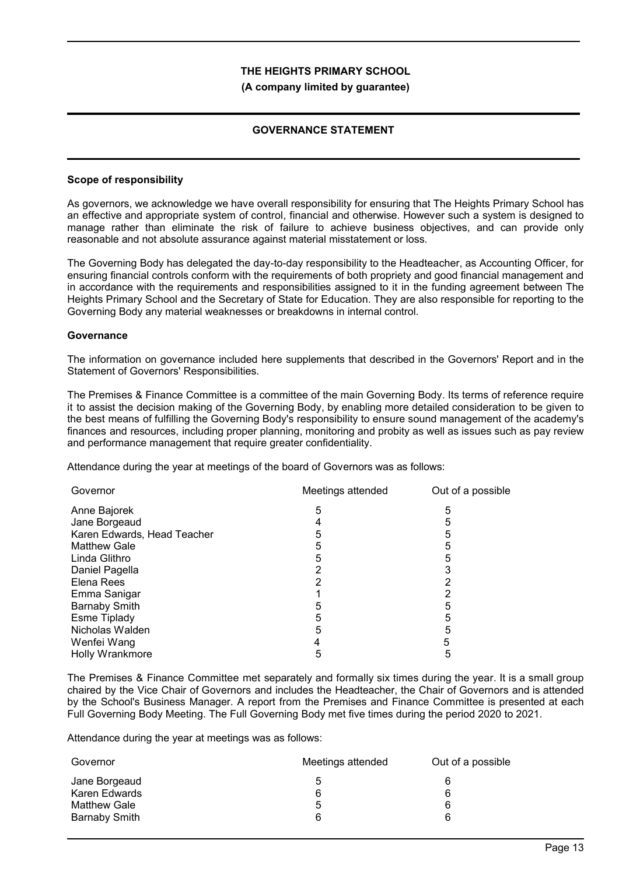#### **(A company limited by guarantee)**

# **GOVERNANCE STATEMENT**

#### **Scope of responsibility**

As governors, we acknowledge we have overall responsibility for ensuring that The Heights Primary School has an effective and appropriate system of control, financial and otherwise. However such a system is designed to manage rather than eliminate the risk of failure to achieve business objectives, and can provide only reasonable and not absolute assurance against material misstatement or loss.

The Governing Body has delegated the day-to-day responsibility to the Headteacher, as Accounting Officer, for ensuring financial controls conform with the requirements of both propriety and good financial management and in accordance with the requirements and responsibilities assigned to it in the funding agreement between The Heights Primary School and the Secretary of State for Education. They are also responsible for reporting to the Governing Body any material weaknesses or breakdowns in internal control.

#### **Governance**

The information on governance included here supplements that described in the Governors' Report and in the Statement of Governors' Responsibilities.

The Premises & Finance Committee is a committee of the main Governing Body. Its terms of reference require it to assist the decision making of the Governing Body, by enabling more detailed consideration to be given to the best means of fulfilling the Governing Body's responsibility to ensure sound management of the academy's finances and resources, including proper planning, monitoring and probity as well as issues such as pay review and performance management that require greater confidentiality.

Attendance during the year at meetings of the board of Governors was as follows:

| Governor                    | Meetings attended | Out of a possible |
|-----------------------------|-------------------|-------------------|
| Anne Bajorek                | 5                 | 5                 |
| Jane Borgeaud               |                   | 5                 |
| Karen Edwards, Head Teacher | 5                 |                   |
| <b>Matthew Gale</b>         | 5                 |                   |
| Linda Glithro               | 5                 |                   |
| Daniel Pagella              |                   |                   |
| Elena Rees                  |                   |                   |
| Emma Sanigar                |                   |                   |
| <b>Barnaby Smith</b>        | 5                 | 5                 |
| <b>Esme Tiplady</b>         | 5                 |                   |
| Nicholas Walden             | 5                 | 5                 |
| Wenfei Wang                 |                   |                   |
| <b>Holly Wrankmore</b>      |                   |                   |

The Premises & Finance Committee met separately and formally six times during the year. It is a small group chaired by the Vice Chair of Governors and includes the Headteacher, the Chair of Governors and is attended by the School's Business Manager. A report from the Premises and Finance Committee is presented at each Full Governing Body Meeting. The Full Governing Body met five times during the period 2020 to 2021.

Attendance during the year at meetings was as follows:

| Governor                                                               | Meetings attended | Out of a possible |
|------------------------------------------------------------------------|-------------------|-------------------|
| Jane Borgeaud<br>Karen Edwards<br>Matthew Gale<br><b>Barnaby Smith</b> | 5<br>6<br>5<br>6  | 6<br>6<br>6       |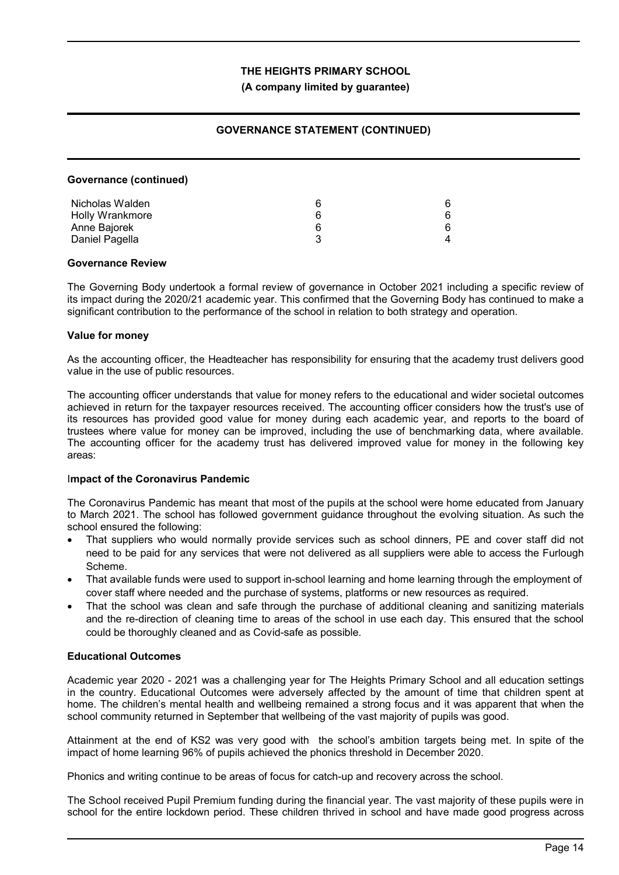**(A company limited by guarantee)**

# **GOVERNANCE STATEMENT (CONTINUED)**

#### **Governance (continued)**

| Nicholas Walden | ิค |   |
|-----------------|----|---|
| Holly Wrankmore | ิค | 6 |
| Anne Bajorek    | ิค | 6 |
| Daniel Pagella  |    |   |

#### **Governance Review**

The Governing Body undertook a formal review of governance in October 2021 including a specific review of its impact during the 2020/21 academic year. This confirmed that the Governing Body has continued to make a significant contribution to the performance of the school in relation to both strategy and operation.

#### **Value for money**

As the accounting officer, the Headteacher has responsibility for ensuring that the academy trust delivers good value in the use of public resources.

The accounting officer understands that value for money refers to the educational and wider societal outcomes achieved in return for the taxpayer resources received. The accounting officer considers how the trust's use of its resources has provided good value for money during each academic year, and reports to the board of trustees where value for money can be improved, including the use of benchmarking data, where available. The accounting officer for the academy trust has delivered improved value for money in the following key areas:

## I**mpact of the Coronavirus Pandemic**

The Coronavirus Pandemic has meant that most of the pupils at the school were home educated from January to March 2021. The school has followed government guidance throughout the evolving situation. As such the school ensured the following:

- That suppliers who would normally provide services such as school dinners, PE and cover staff did not need to be paid for any services that were not delivered as all suppliers were able to access the Furlough Scheme.
- That available funds were used to support in-school learning and home learning through the employment of cover staff where needed and the purchase of systems, platforms or new resources as required.
- That the school was clean and safe through the purchase of additional cleaning and sanitizing materials and the re-direction of cleaning time to areas of the school in use each day. This ensured that the school could be thoroughly cleaned and as Covid-safe as possible.

## **Educational Outcomes**

Academic year 2020 - 2021 was a challenging year for The Heights Primary School and all education settings in the country. Educational Outcomes were adversely affected by the amount of time that children spent at home. The children's mental health and wellbeing remained a strong focus and it was apparent that when the school community returned in September that wellbeing of the vast majority of pupils was good.

Attainment at the end of KS2 was very good with the school's ambition targets being met. In spite of the impact of home learning 96% of pupils achieved the phonics threshold in December 2020.

Phonics and writing continue to be areas of focus for catch-up and recovery across the school.

The School received Pupil Premium funding during the financial year. The vast majority of these pupils were in school for the entire lockdown period. These children thrived in school and have made good progress across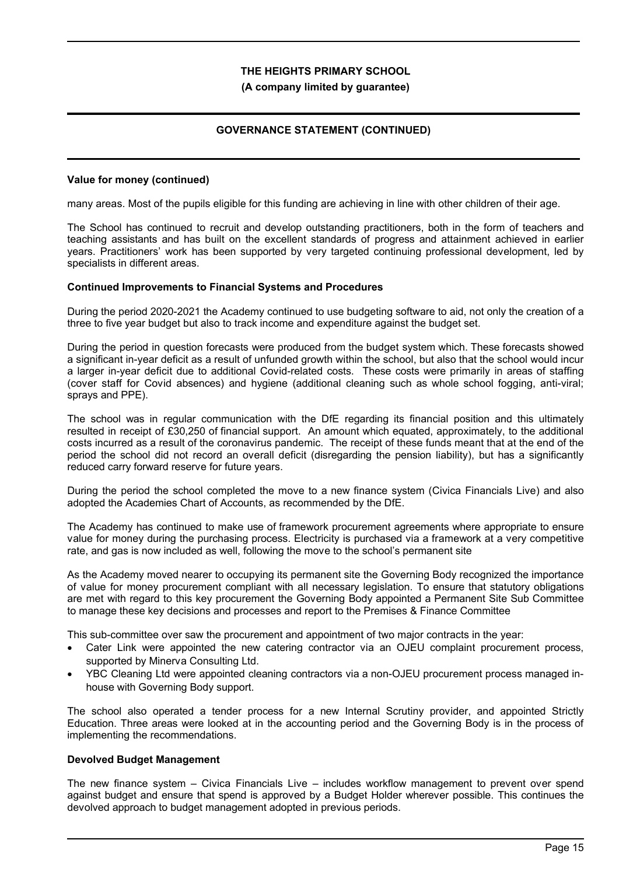# **(A company limited by guarantee)**

# **GOVERNANCE STATEMENT (CONTINUED)**

### **Value for money (continued)**

many areas. Most of the pupils eligible for this funding are achieving in line with other children of their age.

The School has continued to recruit and develop outstanding practitioners, both in the form of teachers and teaching assistants and has built on the excellent standards of progress and attainment achieved in earlier years. Practitioners' work has been supported by very targeted continuing professional development, led by specialists in different areas.

#### **Continued Improvements to Financial Systems and Procedures**

During the period 2020-2021 the Academy continued to use budgeting software to aid, not only the creation of a three to five year budget but also to track income and expenditure against the budget set.

During the period in question forecasts were produced from the budget system which. These forecasts showed a significant in-year deficit as a result of unfunded growth within the school, but also that the school would incur a larger in-year deficit due to additional Covid-related costs. These costs were primarily in areas of staffing (cover staff for Covid absences) and hygiene (additional cleaning such as whole school fogging, anti-viral; sprays and PPE).

The school was in regular communication with the DfE regarding its financial position and this ultimately resulted in receipt of £30,250 of financial support. An amount which equated, approximately, to the additional costs incurred as a result of the coronavirus pandemic. The receipt of these funds meant that at the end of the period the school did not record an overall deficit (disregarding the pension liability), but has a significantly reduced carry forward reserve for future years.

During the period the school completed the move to a new finance system (Civica Financials Live) and also adopted the Academies Chart of Accounts, as recommended by the DfE.

The Academy has continued to make use of framework procurement agreements where appropriate to ensure value for money during the purchasing process. Electricity is purchased via a framework at a very competitive rate, and gas is now included as well, following the move to the school's permanent site

As the Academy moved nearer to occupying its permanent site the Governing Body recognized the importance of value for money procurement compliant with all necessary legislation. To ensure that statutory obligations are met with regard to this key procurement the Governing Body appointed a Permanent Site Sub Committee to manage these key decisions and processes and report to the Premises & Finance Committee

This sub-committee over saw the procurement and appointment of two major contracts in the year:

- Cater Link were appointed the new catering contractor via an OJEU complaint procurement process, supported by Minerva Consulting Ltd.
- YBC Cleaning Ltd were appointed cleaning contractors via a non-OJEU procurement process managed inhouse with Governing Body support.

The school also operated a tender process for a new Internal Scrutiny provider, and appointed Strictly Education. Three areas were looked at in the accounting period and the Governing Body is in the process of implementing the recommendations.

## **Devolved Budget Management**

The new finance system – Civica Financials Live – includes workflow management to prevent over spend against budget and ensure that spend is approved by a Budget Holder wherever possible. This continues the devolved approach to budget management adopted in previous periods.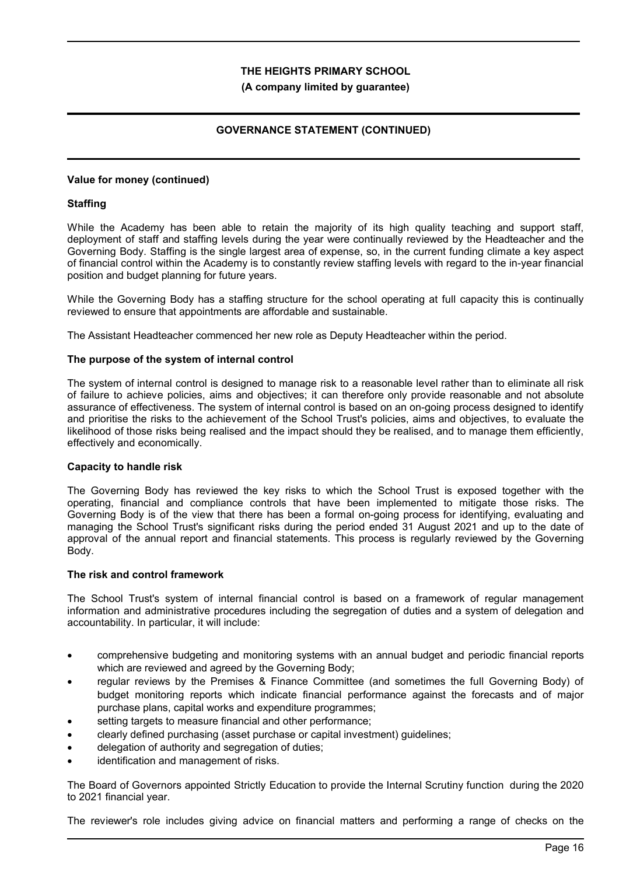### **(A company limited by guarantee)**

# **GOVERNANCE STATEMENT (CONTINUED)**

### **Value for money (continued)**

## **Staffing**

While the Academy has been able to retain the majority of its high quality teaching and support staff, deployment of staff and staffing levels during the year were continually reviewed by the Headteacher and the Governing Body. Staffing is the single largest area of expense, so, in the current funding climate a key aspect of financial control within the Academy is to constantly review staffing levels with regard to the in-year financial position and budget planning for future years.

While the Governing Body has a staffing structure for the school operating at full capacity this is continually reviewed to ensure that appointments are affordable and sustainable.

The Assistant Headteacher commenced her new role as Deputy Headteacher within the period.

#### **The purpose of the system of internal control**

The system of internal control is designed to manage risk to a reasonable level rather than to eliminate all risk of failure to achieve policies, aims and objectives; it can therefore only provide reasonable and not absolute assurance of effectiveness. The system of internal control is based on an on-going process designed to identify and prioritise the risks to the achievement of the School Trust's policies, aims and objectives, to evaluate the likelihood of those risks being realised and the impact should they be realised, and to manage them efficiently, effectively and economically.

#### **Capacity to handle risk**

The Governing Body has reviewed the key risks to which the School Trust is exposed together with the operating, financial and compliance controls that have been implemented to mitigate those risks. The Governing Body is of the view that there has been a formal on-going process for identifying, evaluating and managing the School Trust's significant risks during the period ended 31 August 2021 and up to the date of approval of the annual report and financial statements. This process is regularly reviewed by the Governing Body.

#### **The risk and control framework**

The School Trust's system of internal financial control is based on a framework of regular management information and administrative procedures including the segregation of duties and a system of delegation and accountability. In particular, it will include:

- comprehensive budgeting and monitoring systems with an annual budget and periodic financial reports which are reviewed and agreed by the Governing Body;
- regular reviews by the Premises & Finance Committee (and sometimes the full Governing Body) of budget monitoring reports which indicate financial performance against the forecasts and of major purchase plans, capital works and expenditure programmes;
- setting targets to measure financial and other performance;
- clearly defined purchasing (asset purchase or capital investment) guidelines;
- delegation of authority and segregation of duties;
- identification and management of risks.

The Board of Governors appointed Strictly Education to provide the Internal Scrutiny function during the 2020 to 2021 financial year.

The reviewer's role includes giving advice on financial matters and performing a range of checks on the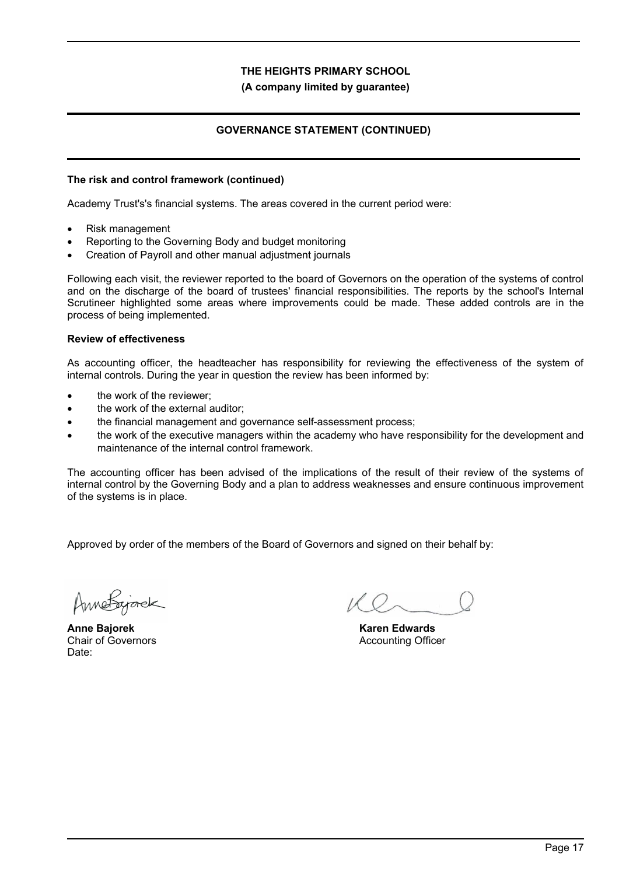# **(A company limited by guarantee)**

# **GOVERNANCE STATEMENT (CONTINUED)**

## **The risk and control framework (continued)**

Academy Trust's's financial systems. The areas covered in the current period were:

- Risk management
- Reporting to the Governing Body and budget monitoring
- Creation of Payroll and other manual adjustment journals

Following each visit, the reviewer reported to the board of Governors on the operation of the systems of control and on the discharge of the board of trustees' financial responsibilities. The reports by the school's Internal Scrutineer highlighted some areas where improvements could be made. These added controls are in the process of being implemented.

#### **Review of effectiveness**

As accounting officer, the headteacher has responsibility for reviewing the effectiveness of the system of internal controls. During the year in question the review has been informed by:

- the work of the reviewer;
- the work of the external auditor;
- the financial management and governance self-assessment process;
- the work of the executive managers within the academy who have responsibility for the development and maintenance of the internal control framework.

The accounting officer has been advised of the implications of the result of their review of the systems of internal control by the Governing Body and a plan to address weaknesses and ensure continuous improvement of the systems is in place.

Approved by order of the members of the Board of Governors and signed on their behalf by:

Annetagorek

**Anne Bajorek** Chair of Governors Date:

**Karen Edwards** Accounting Officer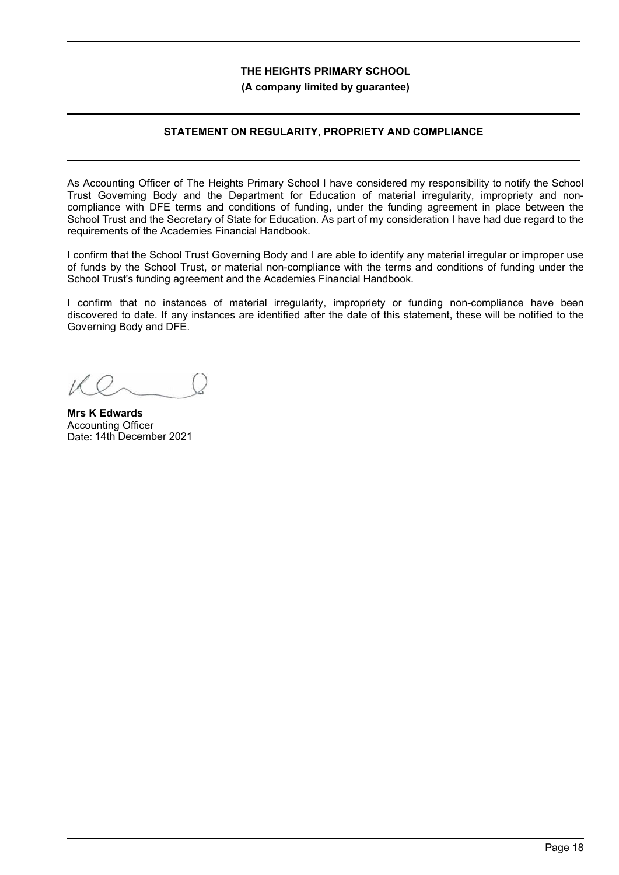**(A company limited by guarantee)**

# **STATEMENT ON REGULARITY, PROPRIETY AND COMPLIANCE**

As Accounting Officer of The Heights Primary School I have considered my responsibility to notify the School Trust Governing Body and the Department for Education of material irregularity, impropriety and noncompliance with DFE terms and conditions of funding, under the funding agreement in place between the School Trust and the Secretary of State for Education. As part of my consideration I have had due regard to the requirements of the Academies Financial Handbook.

I confirm that the School Trust Governing Body and I are able to identify any material irregular or improper use of funds by the School Trust, or material non-compliance with the terms and conditions of funding under the School Trust's funding agreement and the Academies Financial Handbook.

I confirm that no instances of material irregularity, impropriety or funding non-compliance have been discovered to date. If any instances are identified after the date of this statement, these will be notified to the Governing Body and DFE.

**Mrs K Edwards** Accounting Officer Date: 14th December 2021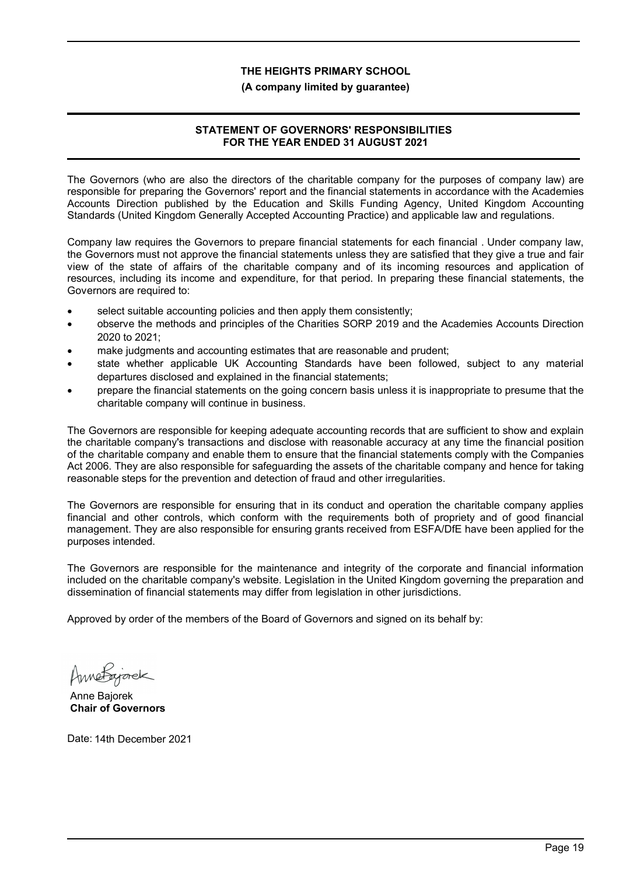# **(A company limited by guarantee)**

# **STATEMENT OF GOVERNORS' RESPONSIBILITIES FOR THE YEAR ENDED 31 AUGUST 2021**

The Governors (who are also the directors of the charitable company for the purposes of company law) are responsible for preparing the Governors' report and the financial statements in accordance with the Academies Accounts Direction published by the Education and Skills Funding Agency, United Kingdom Accounting Standards (United Kingdom Generally Accepted Accounting Practice) and applicable law and regulations.

Company law requires the Governors to prepare financial statements for each financial . Under company law, the Governors must not approve the financial statements unless they are satisfied that they give a true and fair view of the state of affairs of the charitable company and of its incoming resources and application of resources, including its income and expenditure, for that period. In preparing these financial statements, the Governors are required to:

- select suitable accounting policies and then apply them consistently;
- observe the methods and principles of the Charities SORP 2019 and the Academies Accounts Direction 2020 to 2021;
- make judgments and accounting estimates that are reasonable and prudent;
- state whether applicable UK Accounting Standards have been followed, subject to any material departures disclosed and explained in the financial statements;
- prepare the financial statements on the going concern basis unless it is inappropriate to presume that the charitable company will continue in business.

The Governors are responsible for keeping adequate accounting records that are sufficient to show and explain the charitable company's transactions and disclose with reasonable accuracy at any time the financial position of the charitable company and enable them to ensure that the financial statements comply with the Companies Act 2006. They are also responsible for safeguarding the assets of the charitable company and hence for taking reasonable steps for the prevention and detection of fraud and other irregularities.

The Governors are responsible for ensuring that in its conduct and operation the charitable company applies financial and other controls, which conform with the requirements both of propriety and of good financial management. They are also responsible for ensuring grants received from ESFA/DfE have been applied for the purposes intended.

The Governors are responsible for the maintenance and integrity of the corporate and financial information included on the charitable company's website. Legislation in the United Kingdom governing the preparation and dissemination of financial statements may differ from legislation in other jurisdictions.

Approved by order of the members of the Board of Governors and signed on its behalf by:

Annetagorek

Anne Bajorek **Chair of Governors**

Date: 14th December 2021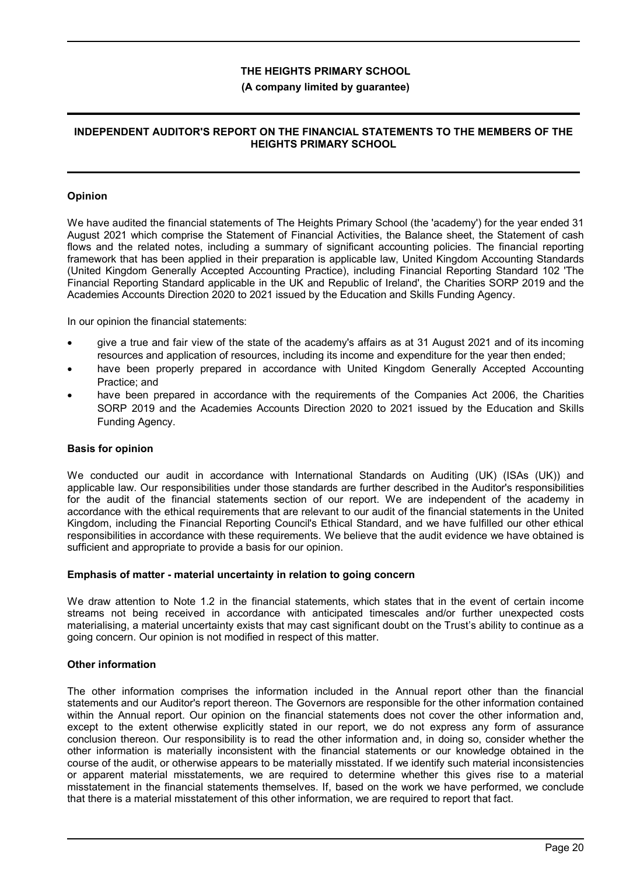## **(A company limited by guarantee)**

# **INDEPENDENT AUDITOR'S REPORT ON THE FINANCIAL STATEMENTS TO THE MEMBERS OF THE HEIGHTS PRIMARY SCHOOL**

## **Opinion**

We have audited the financial statements of The Heights Primary School (the 'academy') for the year ended 31 August 2021 which comprise the Statement of Financial Activities, the Balance sheet, the Statement of cash flows and the related notes, including a summary of significant accounting policies. The financial reporting framework that has been applied in their preparation is applicable law, United Kingdom Accounting Standards (United Kingdom Generally Accepted Accounting Practice), including Financial Reporting Standard 102 'The Financial Reporting Standard applicable in the UK and Republic of Ireland', the Charities SORP 2019 and the Academies Accounts Direction 2020 to 2021 issued by the Education and Skills Funding Agency.

In our opinion the financial statements:

- give a true and fair view of the state of the academy's affairs as at 31 August 2021 and of its incoming resources and application of resources, including its income and expenditure for the year then ended;
- have been properly prepared in accordance with United Kingdom Generally Accepted Accounting Practice; and
- have been prepared in accordance with the requirements of the Companies Act 2006, the Charities SORP 2019 and the Academies Accounts Direction 2020 to 2021 issued by the Education and Skills Funding Agency.

## **Basis for opinion**

We conducted our audit in accordance with International Standards on Auditing (UK) (ISAs (UK)) and applicable law. Our responsibilities under those standards are further described in the Auditor's responsibilities for the audit of the financial statements section of our report. We are independent of the academy in accordance with the ethical requirements that are relevant to our audit of the financial statements in the United Kingdom, including the Financial Reporting Council's Ethical Standard, and we have fulfilled our other ethical responsibilities in accordance with these requirements. We believe that the audit evidence we have obtained is sufficient and appropriate to provide a basis for our opinion.

#### **Emphasis of matter - material uncertainty in relation to going concern**

We draw attention to Note 1.2 in the financial statements, which states that in the event of certain income streams not being received in accordance with anticipated timescales and/or further unexpected costs materialising, a material uncertainty exists that may cast significant doubt on the Trust's ability to continue as a going concern. Our opinion is not modified in respect of this matter.

## **Other information**

The other information comprises the information included in the Annual report other than the financial statements and our Auditor's report thereon. The Governors are responsible for the other information contained within the Annual report. Our opinion on the financial statements does not cover the other information and, except to the extent otherwise explicitly stated in our report, we do not express any form of assurance conclusion thereon. Our responsibility is to read the other information and, in doing so, consider whether the other information is materially inconsistent with the financial statements or our knowledge obtained in the course of the audit, or otherwise appears to be materially misstated. If we identify such material inconsistencies or apparent material misstatements, we are required to determine whether this gives rise to a material misstatement in the financial statements themselves. If, based on the work we have performed, we conclude that there is a material misstatement of this other information, we are required to report that fact.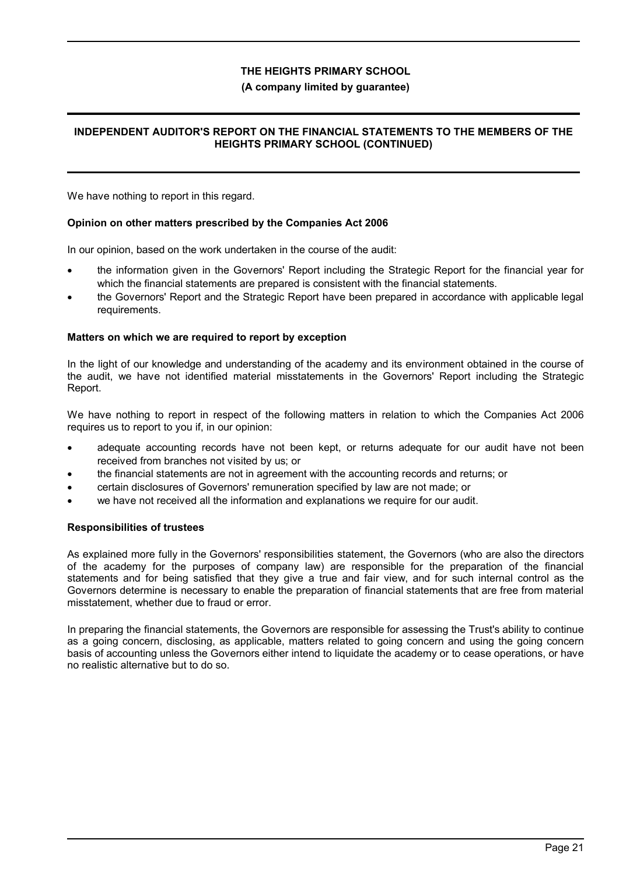# **(A company limited by guarantee)**

# **INDEPENDENT AUDITOR'S REPORT ON THE FINANCIAL STATEMENTS TO THE MEMBERS OF THE HEIGHTS PRIMARY SCHOOL (CONTINUED)**

We have nothing to report in this regard.

#### **Opinion on other matters prescribed by the Companies Act 2006**

In our opinion, based on the work undertaken in the course of the audit:

- the information given in the Governors' Report including the Strategic Report for the financial year for which the financial statements are prepared is consistent with the financial statements.
- the Governors' Report and the Strategic Report have been prepared in accordance with applicable legal requirements.

#### **Matters on which we are required to report by exception**

In the light of our knowledge and understanding of the academy and its environment obtained in the course of the audit, we have not identified material misstatements in the Governors' Report including the Strategic Report.

We have nothing to report in respect of the following matters in relation to which the Companies Act 2006 requires us to report to you if, in our opinion:

- adequate accounting records have not been kept, or returns adequate for our audit have not been received from branches not visited by us; or
- the financial statements are not in agreement with the accounting records and returns; or
- certain disclosures of Governors' remuneration specified by law are not made; or
- we have not received all the information and explanations we require for our audit.

#### **Responsibilities of trustees**

As explained more fully in the Governors' responsibilities statement, the Governors (who are also the directors of the academy for the purposes of company law) are responsible for the preparation of the financial statements and for being satisfied that they give a true and fair view, and for such internal control as the Governors determine is necessary to enable the preparation of financial statements that are free from material misstatement, whether due to fraud or error.

In preparing the financial statements, the Governors are responsible for assessing the Trust's ability to continue as a going concern, disclosing, as applicable, matters related to going concern and using the going concern basis of accounting unless the Governors either intend to liquidate the academy or to cease operations, or have no realistic alternative but to do so.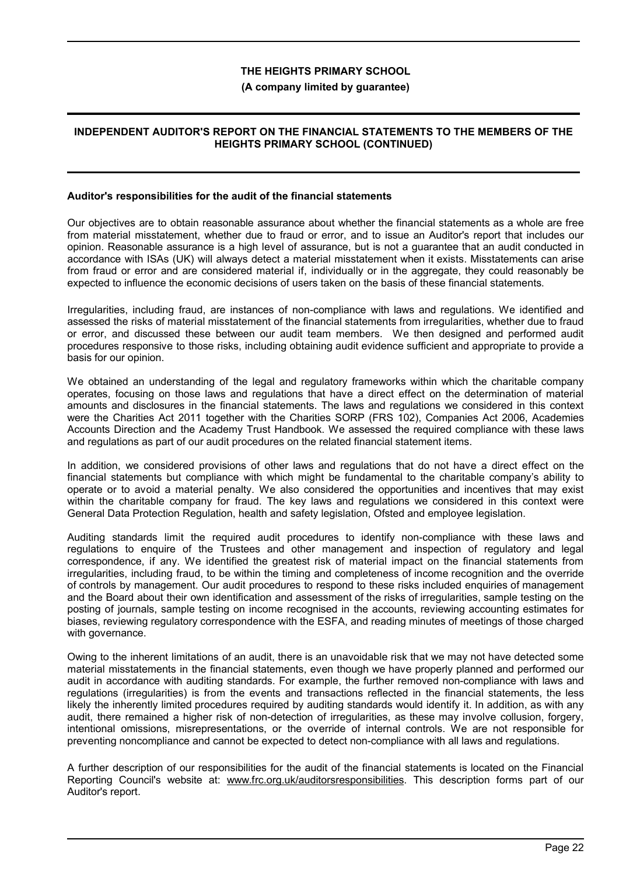#### **(A company limited by guarantee)**

### **INDEPENDENT AUDITOR'S REPORT ON THE FINANCIAL STATEMENTS TO THE MEMBERS OF THE HEIGHTS PRIMARY SCHOOL (CONTINUED)**

#### **Auditor's responsibilities for the audit of the financial statements**

Our objectives are to obtain reasonable assurance about whether the financial statements as a whole are free from material misstatement, whether due to fraud or error, and to issue an Auditor's report that includes our opinion. Reasonable assurance is a high level of assurance, but is not a guarantee that an audit conducted in accordance with ISAs (UK) will always detect a material misstatement when it exists. Misstatements can arise from fraud or error and are considered material if, individually or in the aggregate, they could reasonably be expected to influence the economic decisions of users taken on the basis of these financial statements.

Irregularities, including fraud, are instances of non-compliance with laws and regulations. We identified and assessed the risks of material misstatement of the financial statements from irregularities, whether due to fraud or error, and discussed these between our audit team members. We then designed and performed audit procedures responsive to those risks, including obtaining audit evidence sufficient and appropriate to provide a basis for our opinion.

We obtained an understanding of the legal and regulatory frameworks within which the charitable company operates, focusing on those laws and regulations that have a direct effect on the determination of material amounts and disclosures in the financial statements. The laws and regulations we considered in this context were the Charities Act 2011 together with the Charities SORP (FRS 102), Companies Act 2006, Academies Accounts Direction and the Academy Trust Handbook. We assessed the required compliance with these laws and regulations as part of our audit procedures on the related financial statement items.

In addition, we considered provisions of other laws and regulations that do not have a direct effect on the financial statements but compliance with which might be fundamental to the charitable company's ability to operate or to avoid a material penalty. We also considered the opportunities and incentives that may exist within the charitable company for fraud. The key laws and regulations we considered in this context were General Data Protection Regulation, health and safety legislation, Ofsted and employee legislation.

Auditing standards limit the required audit procedures to identify non-compliance with these laws and regulations to enquire of the Trustees and other management and inspection of regulatory and legal correspondence, if any. We identified the greatest risk of material impact on the financial statements from irregularities, including fraud, to be within the timing and completeness of income recognition and the override of controls by management. Our audit procedures to respond to these risks included enquiries of management and the Board about their own identification and assessment of the risks of irregularities, sample testing on the posting of journals, sample testing on income recognised in the accounts, reviewing accounting estimates for biases, reviewing regulatory correspondence with the ESFA, and reading minutes of meetings of those charged with governance.

Owing to the inherent limitations of an audit, there is an unavoidable risk that we may not have detected some material misstatements in the financial statements, even though we have properly planned and performed our audit in accordance with auditing standards. For example, the further removed non-compliance with laws and regulations (irregularities) is from the events and transactions reflected in the financial statements, the less likely the inherently limited procedures required by auditing standards would identify it. In addition, as with any audit, there remained a higher risk of non-detection of irregularities, as these may involve collusion, forgery, intentional omissions, misrepresentations, or the override of internal controls. We are not responsible for preventing noncompliance and cannot be expected to detect non-compliance with all laws and regulations.

A further description of our responsibilities for the audit of the financial statements is located on the Financial Reporting Council's website at: www.frc.org.uk/auditorsresponsibilities. This description forms part of our Auditor's report.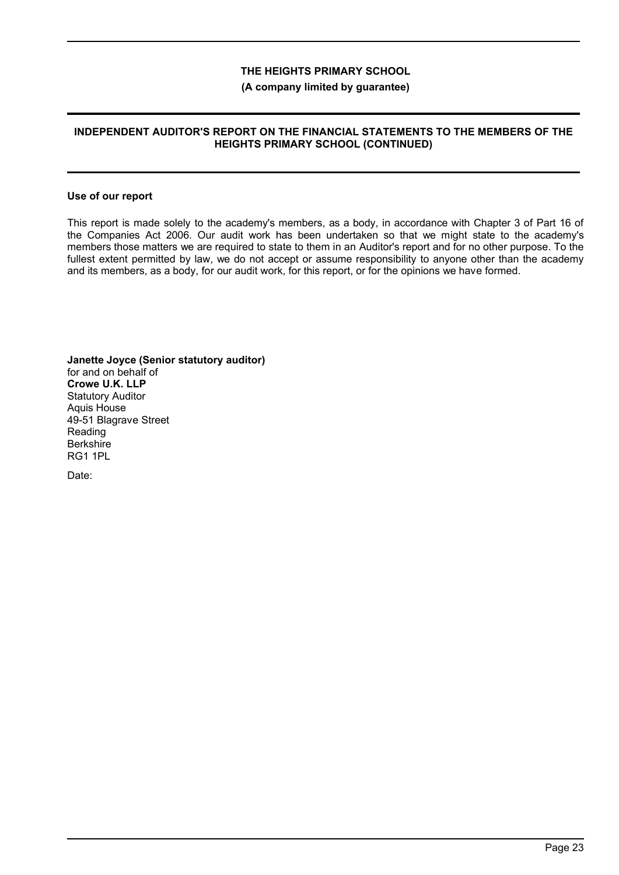# **(A company limited by guarantee)**

## **INDEPENDENT AUDITOR'S REPORT ON THE FINANCIAL STATEMENTS TO THE MEMBERS OF THE HEIGHTS PRIMARY SCHOOL (CONTINUED)**

#### **Use of our report**

This report is made solely to the academy's members, as a body, in accordance with Chapter 3 of Part 16 of the Companies Act 2006. Our audit work has been undertaken so that we might state to the academy's members those matters we are required to state to them in an Auditor's report and for no other purpose. To the fullest extent permitted by law, we do not accept or assume responsibility to anyone other than the academy and its members, as a body, for our audit work, for this report, or for the opinions we have formed.

**Janette Joyce (Senior statutory auditor)** for and on behalf of **Crowe U.K. LLP** Statutory Auditor Aquis House 49-51 Blagrave Street Reading **Berkshire** RG1 1PL

Date: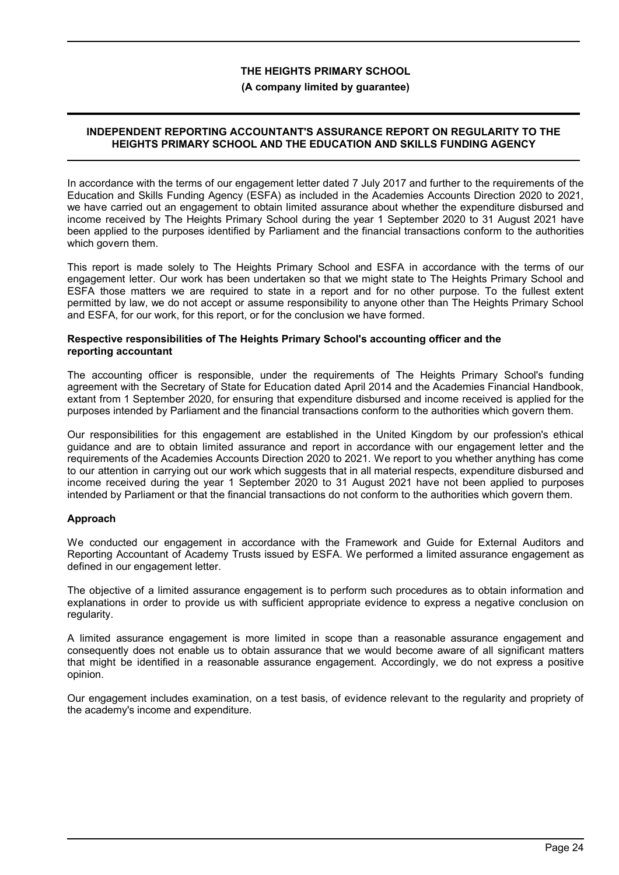#### **(A company limited by guarantee)**

### **INDEPENDENT REPORTING ACCOUNTANT'S ASSURANCE REPORT ON REGULARITY TO THE HEIGHTS PRIMARY SCHOOL AND THE EDUCATION AND SKILLS FUNDING AGENCY**

In accordance with the terms of our engagement letter dated 7 July 2017 and further to the requirements of the Education and Skills Funding Agency (ESFA) as included in the Academies Accounts Direction 2020 to 2021, we have carried out an engagement to obtain limited assurance about whether the expenditure disbursed and income received by The Heights Primary School during the year 1 September 2020 to 31 August 2021 have been applied to the purposes identified by Parliament and the financial transactions conform to the authorities which govern them.

This report is made solely to The Heights Primary School and ESFA in accordance with the terms of our engagement letter. Our work has been undertaken so that we might state to The Heights Primary School and ESFA those matters we are required to state in a report and for no other purpose. To the fullest extent permitted by law, we do not accept or assume responsibility to anyone other than The Heights Primary School and ESFA, for our work, for this report, or for the conclusion we have formed.

#### **Respective responsibilities of The Heights Primary School's accounting officer and the reporting accountant**

The accounting officer is responsible, under the requirements of The Heights Primary School's funding agreement with the Secretary of State for Education dated April 2014 and the Academies Financial Handbook, extant from 1 September 2020, for ensuring that expenditure disbursed and income received is applied for the purposes intended by Parliament and the financial transactions conform to the authorities which govern them.

Our responsibilities for this engagement are established in the United Kingdom by our profession's ethical guidance and are to obtain limited assurance and report in accordance with our engagement letter and the requirements of the Academies Accounts Direction 2020 to 2021. We report to you whether anything has come to our attention in carrying out our work which suggests that in all material respects, expenditure disbursed and income received during the year 1 September 2020 to 31 August 2021 have not been applied to purposes intended by Parliament or that the financial transactions do not conform to the authorities which govern them.

## **Approach**

We conducted our engagement in accordance with the Framework and Guide for External Auditors and Reporting Accountant of Academy Trusts issued by ESFA. We performed a limited assurance engagement as defined in our engagement letter.

The objective of a limited assurance engagement is to perform such procedures as to obtain information and explanations in order to provide us with sufficient appropriate evidence to express a negative conclusion on regularity.

A limited assurance engagement is more limited in scope than a reasonable assurance engagement and consequently does not enable us to obtain assurance that we would become aware of all significant matters that might be identified in a reasonable assurance engagement. Accordingly, we do not express a positive opinion.

Our engagement includes examination, on a test basis, of evidence relevant to the regularity and propriety of the academy's income and expenditure.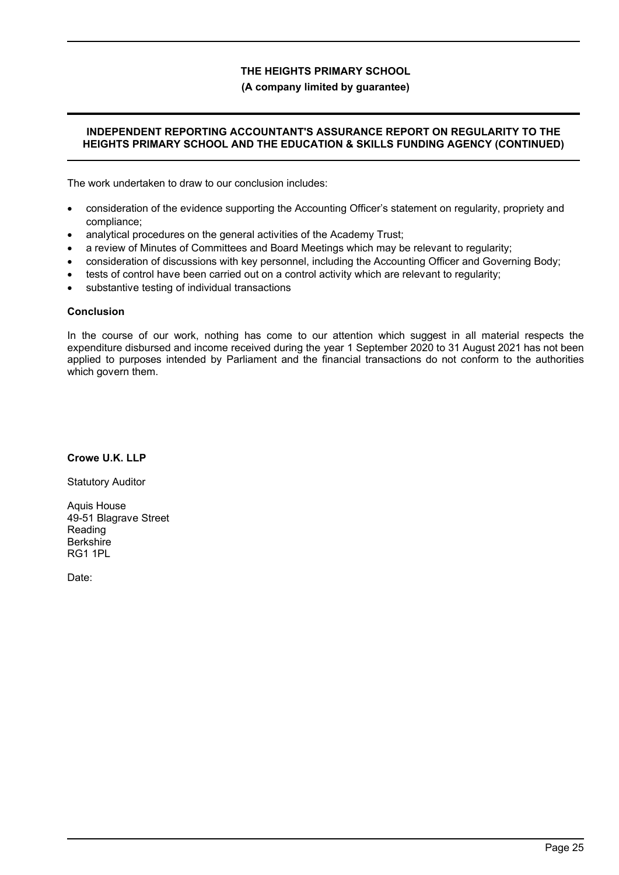# **(A company limited by guarantee)**

### **INDEPENDENT REPORTING ACCOUNTANT'S ASSURANCE REPORT ON REGULARITY TO THE HEIGHTS PRIMARY SCHOOL AND THE EDUCATION & SKILLS FUNDING AGENCY (CONTINUED)**

The work undertaken to draw to our conclusion includes:

- consideration of the evidence supporting the Accounting Officer's statement on regularity, propriety and compliance;
- analytical procedures on the general activities of the Academy Trust;
- a review of Minutes of Committees and Board Meetings which may be relevant to regularity;
- consideration of discussions with key personnel, including the Accounting Officer and Governing Body;
- tests of control have been carried out on a control activity which are relevant to regularity;
- substantive testing of individual transactions

#### **Conclusion**

In the course of our work, nothing has come to our attention which suggest in all material respects the expenditure disbursed and income received during the year 1 September 2020 to 31 August 2021 has not been applied to purposes intended by Parliament and the financial transactions do not conform to the authorities which govern them.

## **Crowe U.K. LLP**

Statutory Auditor

Aquis House 49-51 Blagrave Street Reading **Berkshire** RG1 1PL

Date: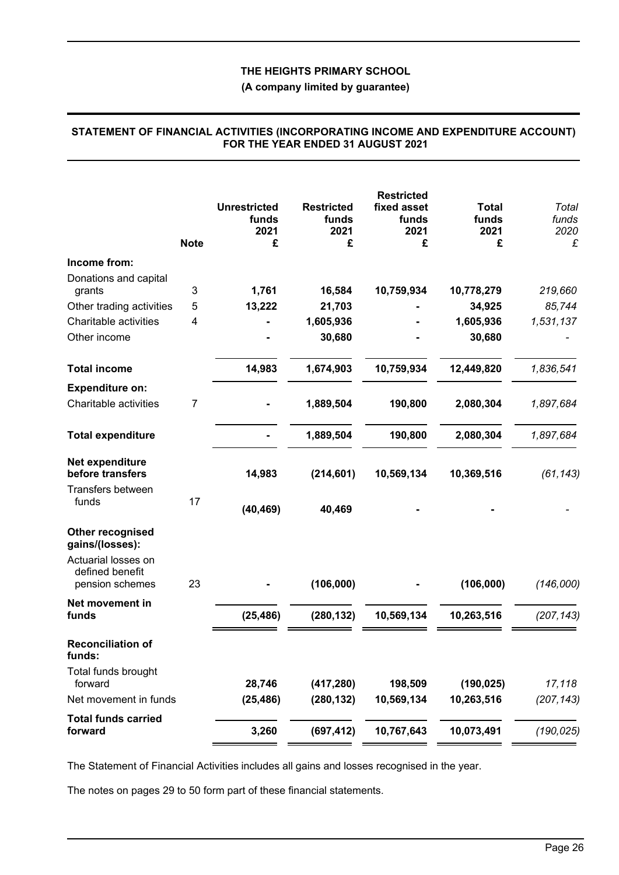**(A company limited by guarantee)**

|                                                            | <b>Note</b> | <b>Unrestricted</b><br>funds<br>2021<br>£ | <b>Restricted</b><br>funds<br>2021<br>£ | <b>Restricted</b><br>fixed asset<br>funds<br>2021<br>£ | <b>Total</b><br>funds<br>2021<br>£ | Total<br>funds<br>2020<br>£ |
|------------------------------------------------------------|-------------|-------------------------------------------|-----------------------------------------|--------------------------------------------------------|------------------------------------|-----------------------------|
| Income from:                                               |             |                                           |                                         |                                                        |                                    |                             |
| Donations and capital<br>grants                            | 3           | 1,761                                     | 16,584                                  | 10,759,934                                             | 10,778,279                         | 219,660                     |
| Other trading activities                                   | 5           | 13,222                                    | 21,703                                  |                                                        | 34,925                             | 85,744                      |
| Charitable activities                                      | 4           |                                           | 1,605,936                               |                                                        | 1,605,936                          | 1,531,137                   |
| Other income                                               |             |                                           | 30,680                                  |                                                        | 30,680                             |                             |
| <b>Total income</b>                                        |             | 14,983                                    | 1,674,903                               | 10,759,934                                             | 12,449,820                         | 1,836,541                   |
| <b>Expenditure on:</b>                                     |             |                                           |                                         |                                                        |                                    |                             |
| Charitable activities                                      | 7           |                                           | 1,889,504                               | 190,800                                                | 2,080,304                          | 1,897,684                   |
| <b>Total expenditure</b>                                   |             |                                           | 1,889,504                               | 190,800                                                | 2,080,304                          | 1,897,684                   |
| Net expenditure<br>before transfers<br>Transfers between   |             | 14,983                                    | (214, 601)                              | 10,569,134                                             | 10,369,516                         | (61, 143)                   |
| funds                                                      | 17          | (40, 469)                                 | 40,469                                  |                                                        |                                    |                             |
| Other recognised<br>gains/(losses):<br>Actuarial losses on |             |                                           |                                         |                                                        |                                    |                             |
| defined benefit<br>pension schemes                         | 23          |                                           | (106,000)                               |                                                        | (106,000)                          | (146,000)                   |
| Net movement in                                            |             |                                           |                                         |                                                        |                                    |                             |
| funds                                                      |             | (25, 486)                                 | (280, 132)                              | 10,569,134                                             | 10,263,516                         | (207, 143)                  |
| <b>Reconciliation of</b><br>funds:                         |             |                                           |                                         |                                                        |                                    |                             |
| Total funds brought<br>forward                             |             | 28,746                                    | (417, 280)                              | 198,509                                                | (190, 025)                         | 17,118                      |
| Net movement in funds                                      |             | (25, 486)                                 | (280, 132)                              | 10,569,134                                             | 10,263,516                         | (207, 143)                  |
| <b>Total funds carried</b>                                 |             |                                           |                                         |                                                        |                                    |                             |
| forward                                                    |             | 3,260                                     | (697, 412)                              | 10,767,643                                             | 10,073,491                         | (190, 025)                  |
|                                                            |             |                                           |                                         |                                                        |                                    |                             |

### **STATEMENT OF FINANCIAL ACTIVITIES (INCORPORATING INCOME AND EXPENDITURE ACCOUNT) FOR THE YEAR ENDED 31 AUGUST 2021**

The Statement of Financial Activities includes all gains and losses recognised in the year.

The notes on pages 29 to 50 form part of these financial statements.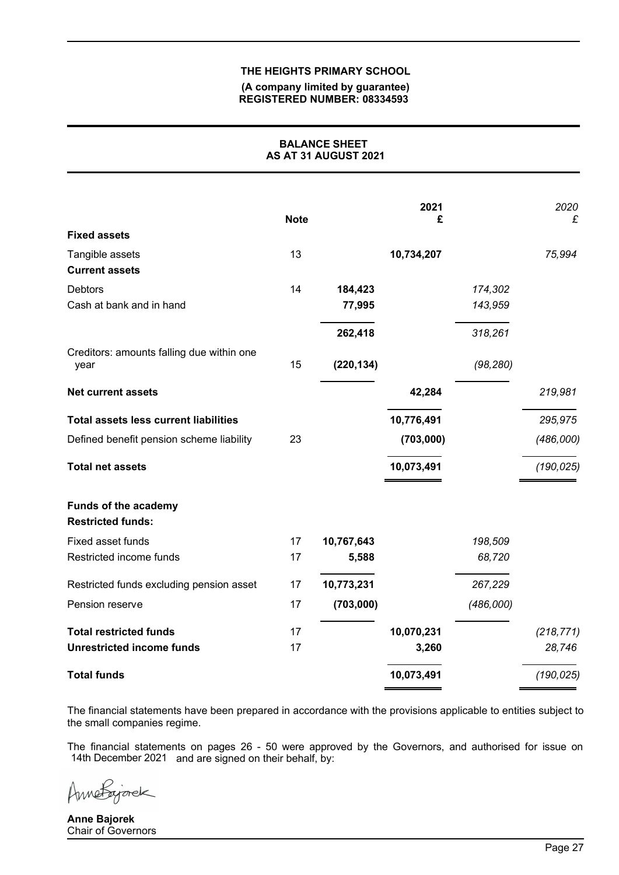#### **(A company limited by guarantee) REGISTERED NUMBER: 08334593**

# **BALANCE SHEET AS AT 31 AUGUST 2021**

| <b>Fixed assets</b>                                               | <b>Note</b> |                   | 2021<br>£           |                    | 2020<br>£            |
|-------------------------------------------------------------------|-------------|-------------------|---------------------|--------------------|----------------------|
| Tangible assets<br><b>Current assets</b>                          | 13          |                   | 10,734,207          |                    | 75,994               |
| <b>Debtors</b><br>Cash at bank and in hand                        | 14          | 184,423<br>77,995 |                     | 174,302<br>143,959 |                      |
|                                                                   |             | 262,418           |                     | 318,261            |                      |
| Creditors: amounts falling due within one<br>year                 | 15          | (220, 134)        |                     | (98, 280)          |                      |
| <b>Net current assets</b>                                         |             |                   | 42,284              |                    | 219,981              |
| <b>Total assets less current liabilities</b>                      |             |                   | 10,776,491          |                    | 295,975              |
| Defined benefit pension scheme liability                          | 23          |                   | (703,000)           |                    | (486,000)            |
| <b>Total net assets</b>                                           |             |                   | 10,073,491          |                    | (190, 025)           |
| <b>Funds of the academy</b><br><b>Restricted funds:</b>           |             |                   |                     |                    |                      |
| <b>Fixed asset funds</b>                                          | 17          | 10,767,643        |                     | 198,509            |                      |
| Restricted income funds                                           | 17          | 5,588             |                     | 68,720             |                      |
| Restricted funds excluding pension asset                          | 17          | 10,773,231        |                     | 267,229            |                      |
| Pension reserve                                                   | 17          | (703,000)         |                     | (486,000)          |                      |
| <b>Total restricted funds</b><br><b>Unrestricted income funds</b> | 17<br>17    |                   | 10,070,231<br>3,260 |                    | (218, 771)<br>28,746 |
| <b>Total funds</b>                                                |             |                   | 10,073,491          |                    | (190, 025)           |

The financial statements have been prepared in accordance with the provisions applicable to entities subject to the small companies regime.

The financial statements on pages 26 - 50 were approved by the Governors, and authorised for issue on 14th December 2021 and are signed on their behalf, by:

Annetajorek

**Anne Bajorek** Chair of Governors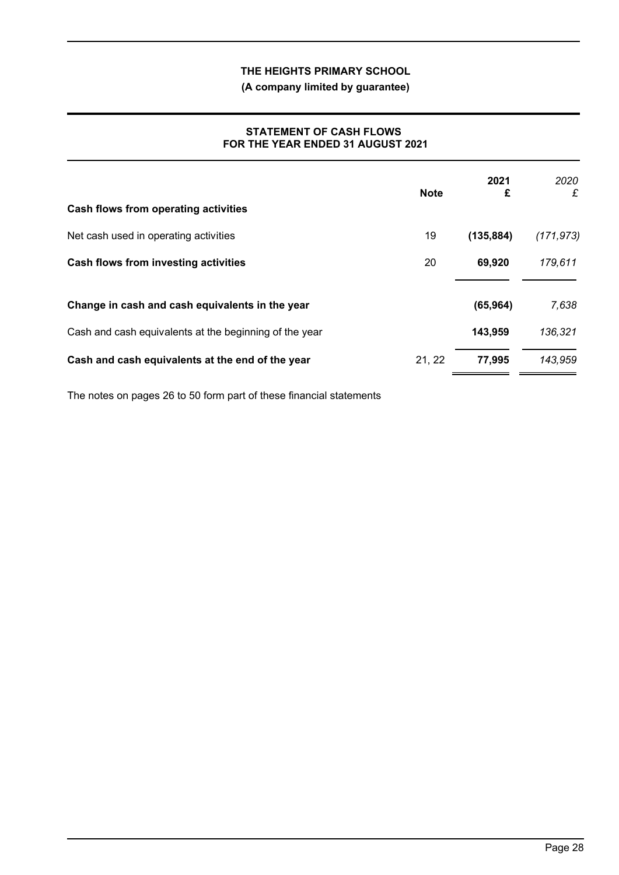**(A company limited by guarantee)**

# **STATEMENT OF CASH FLOWS FOR THE YEAR ENDED 31 AUGUST 2021**

| Cash flows from operating activities                   | <b>Note</b> | 2021<br>£  | 2020<br>£  |
|--------------------------------------------------------|-------------|------------|------------|
| Net cash used in operating activities                  | 19          | (135, 884) | (171, 973) |
| <b>Cash flows from investing activities</b>            | 20          | 69,920     | 179,611    |
| Change in cash and cash equivalents in the year        |             | (65, 964)  | 7,638      |
| Cash and cash equivalents at the beginning of the year |             | 143,959    | 136,321    |
| Cash and cash equivalents at the end of the year       | 21, 22      | 77,995     | 143,959    |

The notes on pages 26 to 50 form part of these financial statements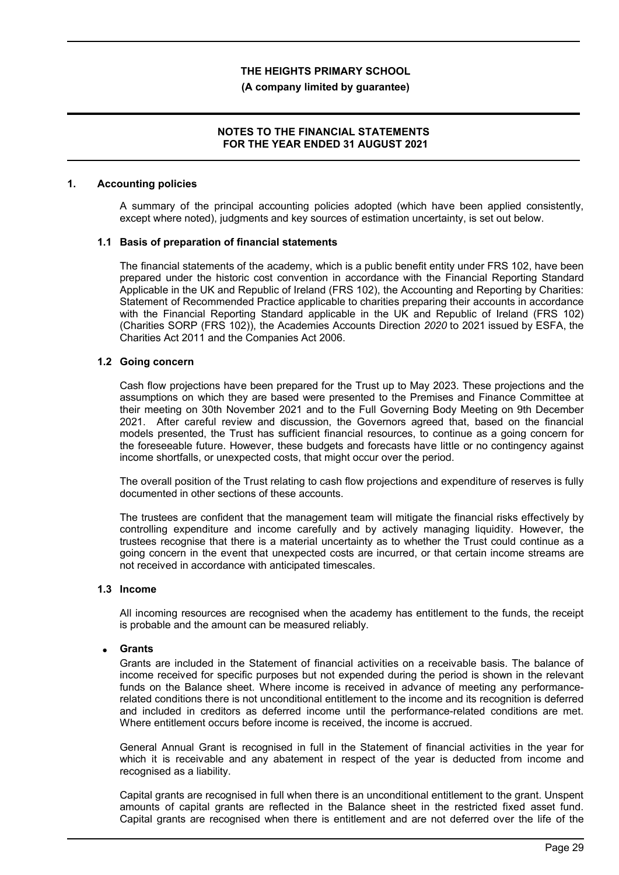#### **(A company limited by guarantee)**

### **NOTES TO THE FINANCIAL STATEMENTS FOR THE YEAR ENDED 31 AUGUST 2021**

#### **1. Accounting policies**

A summary of the principal accounting policies adopted (which have been applied consistently, except where noted), judgments and key sources of estimation uncertainty, is set out below.

#### **1.1 Basis of preparation of financial statements**

The financial statements of the academy, which is a public benefit entity under FRS 102, have been prepared under the historic cost convention in accordance with the Financial Reporting Standard Applicable in the UK and Republic of Ireland (FRS 102), the Accounting and Reporting by Charities: Statement of Recommended Practice applicable to charities preparing their accounts in accordance with the Financial Reporting Standard applicable in the UK and Republic of Ireland (FRS 102) (Charities SORP (FRS 102)), the Academies Accounts Direction *2020* to 2021 issued by ESFA, the Charities Act 2011 and the Companies Act 2006.

## **1.2 Going concern**

Cash flow projections have been prepared for the Trust up to May 2023. These projections and the assumptions on which they are based were presented to the Premises and Finance Committee at their meeting on 30th November 2021 and to the Full Governing Body Meeting on 9th December 2021. After careful review and discussion, the Governors agreed that, based on the financial models presented, the Trust has sufficient financial resources, to continue as a going concern for the foreseeable future. However, these budgets and forecasts have little or no contingency against income shortfalls, or unexpected costs, that might occur over the period.

The overall position of the Trust relating to cash flow projections and expenditure of reserves is fully documented in other sections of these accounts.

The trustees are confident that the management team will mitigate the financial risks effectively by controlling expenditure and income carefully and by actively managing liquidity. However, the trustees recognise that there is a material uncertainty as to whether the Trust could continue as a going concern in the event that unexpected costs are incurred, or that certain income streams are not received in accordance with anticipated timescales.

#### **1.3 Income**

All incoming resources are recognised when the academy has entitlement to the funds, the receipt is probable and the amount can be measured reliably.

## **Grants**

Grants are included in the Statement of financial activities on a receivable basis. The balance of income received for specific purposes but not expended during the period is shown in the relevant funds on the Balance sheet. Where income is received in advance of meeting any performancerelated conditions there is not unconditional entitlement to the income and its recognition is deferred and included in creditors as deferred income until the performance-related conditions are met. Where entitlement occurs before income is received, the income is accrued.

General Annual Grant is recognised in full in the Statement of financial activities in the year for which it is receivable and any abatement in respect of the year is deducted from income and recognised as a liability.

Capital grants are recognised in full when there is an unconditional entitlement to the grant. Unspent amounts of capital grants are reflected in the Balance sheet in the restricted fixed asset fund. Capital grants are recognised when there is entitlement and are not deferred over the life of the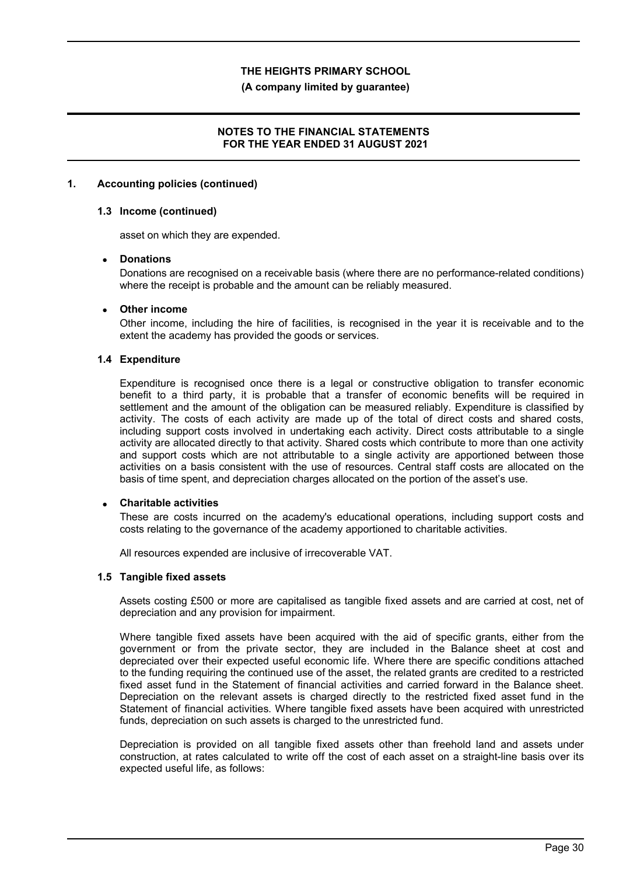**(A company limited by guarantee)**

# **NOTES TO THE FINANCIAL STATEMENTS FOR THE YEAR ENDED 31 AUGUST 2021**

### **1. Accounting policies (continued)**

#### **1.3 Income (continued)**

asset on which they are expended.

#### **Donations**

Donations are recognised on a receivable basis (where there are no performance-related conditions) where the receipt is probable and the amount can be reliably measured.

#### **Other income**

Other income, including the hire of facilities, is recognised in the year it is receivable and to the extent the academy has provided the goods or services.

### **1.4 Expenditure**

Expenditure is recognised once there is a legal or constructive obligation to transfer economic benefit to a third party, it is probable that a transfer of economic benefits will be required in settlement and the amount of the obligation can be measured reliably. Expenditure is classified by activity. The costs of each activity are made up of the total of direct costs and shared costs, including support costs involved in undertaking each activity. Direct costs attributable to a single activity are allocated directly to that activity. Shared costs which contribute to more than one activity and support costs which are not attributable to a single activity are apportioned between those activities on a basis consistent with the use of resources. Central staff costs are allocated on the basis of time spent, and depreciation charges allocated on the portion of the asset's use.

#### **Charitable activities**

These are costs incurred on the academy's educational operations, including support costs and costs relating to the governance of the academy apportioned to charitable activities.

All resources expended are inclusive of irrecoverable VAT.

#### **1.5 Tangible fixed assets**

Assets costing £500 or more are capitalised as tangible fixed assets and are carried at cost, net of depreciation and any provision for impairment.

Where tangible fixed assets have been acquired with the aid of specific grants, either from the government or from the private sector, they are included in the Balance sheet at cost and depreciated over their expected useful economic life. Where there are specific conditions attached to the funding requiring the continued use of the asset, the related grants are credited to a restricted fixed asset fund in the Statement of financial activities and carried forward in the Balance sheet. Depreciation on the relevant assets is charged directly to the restricted fixed asset fund in the Statement of financial activities. Where tangible fixed assets have been acquired with unrestricted funds, depreciation on such assets is charged to the unrestricted fund.

Depreciation is provided on all tangible fixed assets other than freehold land and assets under construction, at rates calculated to write off the cost of each asset on a straight-line basis over its expected useful life, as follows: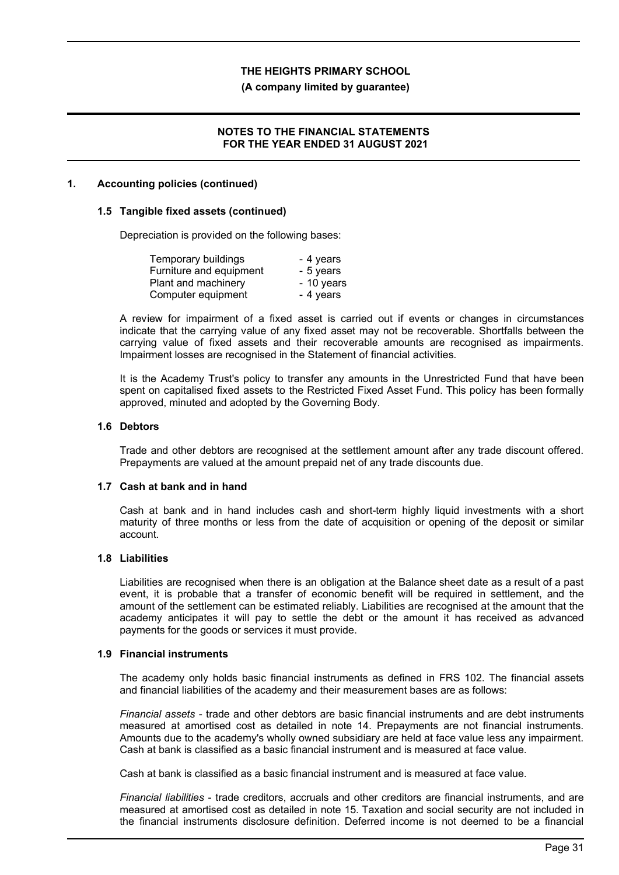**(A company limited by guarantee)**

## **NOTES TO THE FINANCIAL STATEMENTS FOR THE YEAR ENDED 31 AUGUST 2021**

### **1. Accounting policies (continued)**

#### **1.5 Tangible fixed assets (continued)**

Depreciation is provided on the following bases:

| - 4 years  |
|------------|
| - 5 years  |
| - 10 years |
| - 4 years  |
|            |

A review for impairment of a fixed asset is carried out if events or changes in circumstances indicate that the carrying value of any fixed asset may not be recoverable. Shortfalls between the carrying value of fixed assets and their recoverable amounts are recognised as impairments. Impairment losses are recognised in the Statement of financial activities.

It is the Academy Trust's policy to transfer any amounts in the Unrestricted Fund that have been spent on capitalised fixed assets to the Restricted Fixed Asset Fund. This policy has been formally approved, minuted and adopted by the Governing Body.

#### **1.6 Debtors**

Trade and other debtors are recognised at the settlement amount after any trade discount offered. Prepayments are valued at the amount prepaid net of any trade discounts due.

#### **1.7 Cash at bank and in hand**

Cash at bank and in hand includes cash and short-term highly liquid investments with a short maturity of three months or less from the date of acquisition or opening of the deposit or similar account.

#### **1.8 Liabilities**

Liabilities are recognised when there is an obligation at the Balance sheet date as a result of a past event, it is probable that a transfer of economic benefit will be required in settlement, and the amount of the settlement can be estimated reliably. Liabilities are recognised at the amount that the academy anticipates it will pay to settle the debt or the amount it has received as advanced payments for the goods or services it must provide.

### **1.9 Financial instruments**

The academy only holds basic financial instruments as defined in FRS 102. The financial assets and financial liabilities of the academy and their measurement bases are as follows:

*Financial assets* - trade and other debtors are basic financial instruments and are debt instruments measured at amortised cost as detailed in note 14. Prepayments are not financial instruments. Amounts due to the academy's wholly owned subsidiary are held at face value less any impairment. Cash at bank is classified as a basic financial instrument and is measured at face value.

Cash at bank is classified as a basic financial instrument and is measured at face value.

*Financial liabilities* - trade creditors, accruals and other creditors are financial instruments, and are measured at amortised cost as detailed in note 15. Taxation and social security are not included in the financial instruments disclosure definition. Deferred income is not deemed to be a financial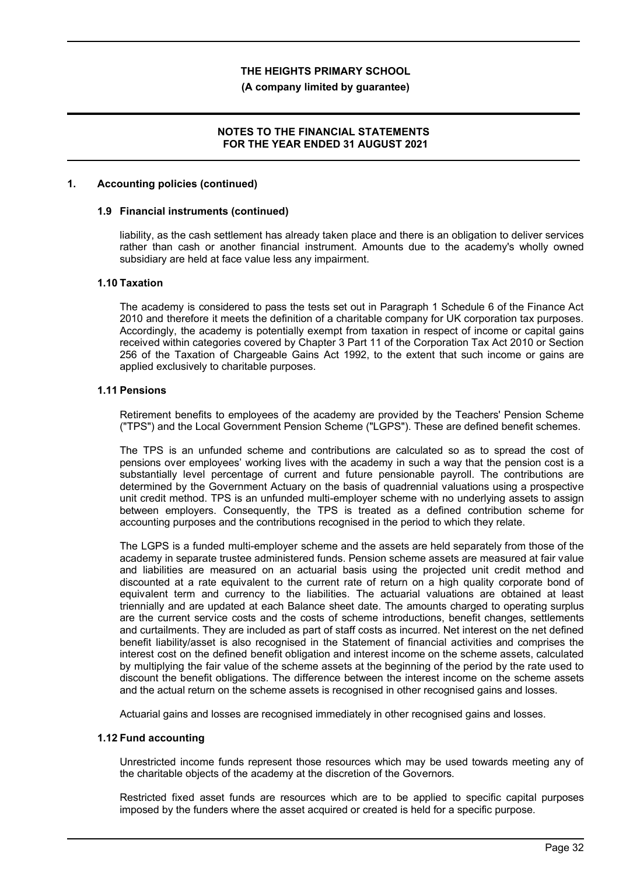#### **(A company limited by guarantee)**

### **NOTES TO THE FINANCIAL STATEMENTS FOR THE YEAR ENDED 31 AUGUST 2021**

#### **1. Accounting policies (continued)**

#### **1.9 Financial instruments (continued)**

liability, as the cash settlement has already taken place and there is an obligation to deliver services rather than cash or another financial instrument. Amounts due to the academy's wholly owned subsidiary are held at face value less any impairment.

#### **1.10 Taxation**

The academy is considered to pass the tests set out in Paragraph 1 Schedule 6 of the Finance Act 2010 and therefore it meets the definition of a charitable company for UK corporation tax purposes. Accordingly, the academy is potentially exempt from taxation in respect of income or capital gains received within categories covered by Chapter 3 Part 11 of the Corporation Tax Act 2010 or Section 256 of the Taxation of Chargeable Gains Act 1992, to the extent that such income or gains are applied exclusively to charitable purposes.

#### **1.11 Pensions**

Retirement benefits to employees of the academy are provided by the Teachers' Pension Scheme ("TPS") and the Local Government Pension Scheme ("LGPS"). These are defined benefit schemes.

The TPS is an unfunded scheme and contributions are calculated so as to spread the cost of pensions over employees' working lives with the academy in such a way that the pension cost is a substantially level percentage of current and future pensionable payroll. The contributions are determined by the Government Actuary on the basis of quadrennial valuations using a prospective unit credit method. TPS is an unfunded multi-employer scheme with no underlying assets to assign between employers. Consequently, the TPS is treated as a defined contribution scheme for accounting purposes and the contributions recognised in the period to which they relate.

The LGPS is a funded multi-employer scheme and the assets are held separately from those of the academy in separate trustee administered funds. Pension scheme assets are measured at fair value and liabilities are measured on an actuarial basis using the projected unit credit method and discounted at a rate equivalent to the current rate of return on a high quality corporate bond of equivalent term and currency to the liabilities. The actuarial valuations are obtained at least triennially and are updated at each Balance sheet date. The amounts charged to operating surplus are the current service costs and the costs of scheme introductions, benefit changes, settlements and curtailments. They are included as part of staff costs as incurred. Net interest on the net defined benefit liability/asset is also recognised in the Statement of financial activities and comprises the interest cost on the defined benefit obligation and interest income on the scheme assets, calculated by multiplying the fair value of the scheme assets at the beginning of the period by the rate used to discount the benefit obligations. The difference between the interest income on the scheme assets and the actual return on the scheme assets is recognised in other recognised gains and losses.

Actuarial gains and losses are recognised immediately in other recognised gains and losses.

#### **1.12 Fund accounting**

Unrestricted income funds represent those resources which may be used towards meeting any of the charitable objects of the academy at the discretion of the Governors.

Restricted fixed asset funds are resources which are to be applied to specific capital purposes imposed by the funders where the asset acquired or created is held for a specific purpose.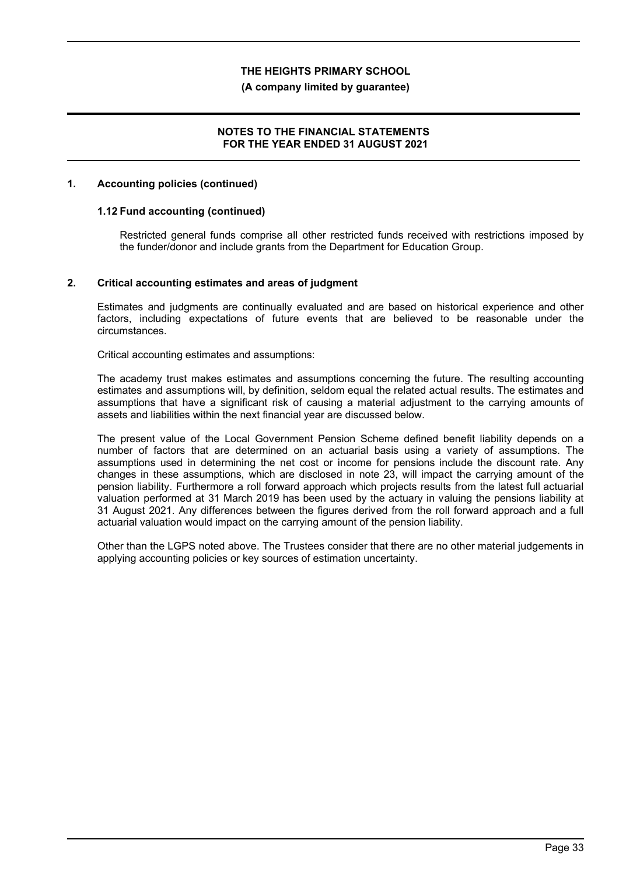### **(A company limited by guarantee)**

# **NOTES TO THE FINANCIAL STATEMENTS FOR THE YEAR ENDED 31 AUGUST 2021**

### **1. Accounting policies (continued)**

### **1.12 Fund accounting (continued)**

Restricted general funds comprise all other restricted funds received with restrictions imposed by the funder/donor and include grants from the Department for Education Group.

## **2. Critical accounting estimates and areas of judgment**

Estimates and judgments are continually evaluated and are based on historical experience and other factors, including expectations of future events that are believed to be reasonable under the circumstances.

Critical accounting estimates and assumptions:

The academy trust makes estimates and assumptions concerning the future. The resulting accounting estimates and assumptions will, by definition, seldom equal the related actual results. The estimates and assumptions that have a significant risk of causing a material adjustment to the carrying amounts of assets and liabilities within the next financial year are discussed below.

The present value of the Local Government Pension Scheme defined benefit liability depends on a number of factors that are determined on an actuarial basis using a variety of assumptions. The assumptions used in determining the net cost or income for pensions include the discount rate. Any changes in these assumptions, which are disclosed in note 23, will impact the carrying amount of the pension liability. Furthermore a roll forward approach which projects results from the latest full actuarial valuation performed at 31 March 2019 has been used by the actuary in valuing the pensions liability at 31 August 2021. Any differences between the figures derived from the roll forward approach and a full actuarial valuation would impact on the carrying amount of the pension liability.

Other than the LGPS noted above. The Trustees consider that there are no other material judgements in applying accounting policies or key sources of estimation uncertainty.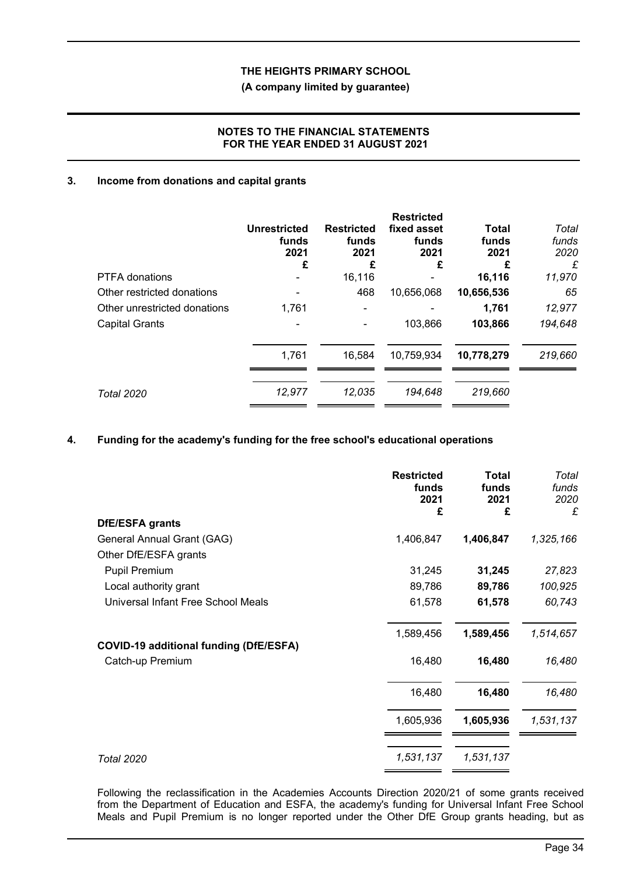# **(A company limited by guarantee)**

# **NOTES TO THE FINANCIAL STATEMENTS FOR THE YEAR ENDED 31 AUGUST 2021**

# **3. Income from donations and capital grants**

|                              | Unrestricted<br>funds<br>2021<br>£ | <b>Restricted</b><br>funds<br>2021<br>£ | <b>Restricted</b><br>fixed asset<br>funds<br>2021<br>£ | Total<br>funds<br>2021 | Total<br>funds<br>2020<br>£ |
|------------------------------|------------------------------------|-----------------------------------------|--------------------------------------------------------|------------------------|-----------------------------|
| <b>PTFA</b> donations        |                                    | 16,116                                  |                                                        | 16,116                 | 11,970                      |
| Other restricted donations   |                                    | 468                                     | 10,656,068                                             | 10,656,536             | 65                          |
| Other unrestricted donations | 1,761                              |                                         |                                                        | 1,761                  | 12,977                      |
| <b>Capital Grants</b>        |                                    |                                         | 103,866                                                | 103,866                | 194,648                     |
|                              | 1,761                              | 16,584                                  | 10,759,934                                             | 10,778,279             | 219,660                     |
| <b>Total 2020</b>            | 12,977                             | 12,035                                  | 194.648                                                | 219,660                |                             |

# **4. Funding for the academy's funding for the free school's educational operations**

|                                               | <b>Restricted</b><br>funds<br>2021<br>£ | <b>Total</b><br>funds<br>2021<br>£ | Total<br>funds<br>2020<br>£ |
|-----------------------------------------------|-----------------------------------------|------------------------------------|-----------------------------|
| <b>DfE/ESFA grants</b>                        |                                         |                                    |                             |
| General Annual Grant (GAG)                    | 1,406,847                               | 1,406,847                          | 1,325,166                   |
| Other DfE/ESFA grants                         |                                         |                                    |                             |
| Pupil Premium                                 | 31,245                                  | 31,245                             | 27,823                      |
| Local authority grant                         | 89,786                                  | 89,786                             | 100,925                     |
| Universal Infant Free School Meals            | 61,578                                  | 61,578                             | 60,743                      |
| <b>COVID-19 additional funding (DfE/ESFA)</b> | 1,589,456                               | 1,589,456                          | 1,514,657                   |
| Catch-up Premium                              | 16,480                                  | 16,480                             | 16,480                      |
|                                               | 16,480                                  | 16,480                             | 16,480                      |
|                                               | 1,605,936                               | 1,605,936                          | 1,531,137                   |
| <b>Total 2020</b>                             | 1,531,137                               | 1,531,137                          |                             |

Following the reclassification in the Academies Accounts Direction 2020/21 of some grants received from the Department of Education and ESFA, the academy's funding for Universal Infant Free School Meals and Pupil Premium is no longer reported under the Other DfE Group grants heading, but as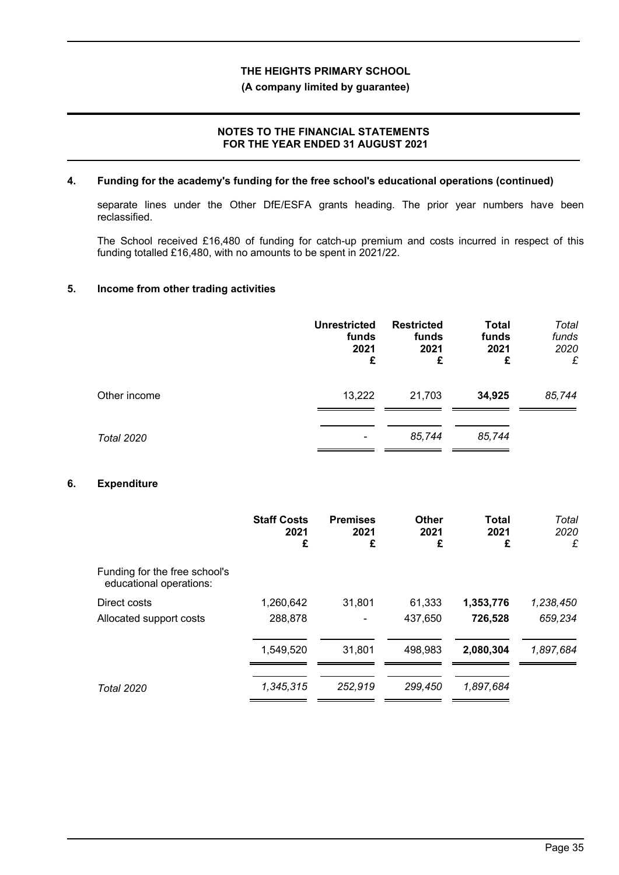**(A company limited by guarantee)**

# **NOTES TO THE FINANCIAL STATEMENTS FOR THE YEAR ENDED 31 AUGUST 2021**

## **4. Funding for the academy's funding for the free school's educational operations (continued)**

separate lines under the Other DfE/ESFA grants heading. The prior year numbers have been reclassified.

The School received £16,480 of funding for catch-up premium and costs incurred in respect of this funding totalled £16,480, with no amounts to be spent in 2021/22.

## **5. Income from other trading activities**

|                   | <b>Unrestricted</b><br>funds<br>2021<br>£ | <b>Restricted</b><br>funds<br>2021<br>£ | <b>Total</b><br>funds<br>2021<br>£ | Total<br>funds<br>2020<br>£ |
|-------------------|-------------------------------------------|-----------------------------------------|------------------------------------|-----------------------------|
| Other income      | 13,222                                    | 21,703                                  | 34,925                             | 85,744                      |
| <b>Total 2020</b> | ۰                                         | 85,744                                  | 85,744                             |                             |

## **6. Expenditure**

|                                                          | <b>Staff Costs</b><br>2021<br>£ | <b>Premises</b><br>2021<br>£ | Other<br>2021<br>£ | <b>Total</b><br>2021<br>£ | Total<br>2020<br>£   |
|----------------------------------------------------------|---------------------------------|------------------------------|--------------------|---------------------------|----------------------|
| Funding for the free school's<br>educational operations: |                                 |                              |                    |                           |                      |
| Direct costs<br>Allocated support costs                  | 1,260,642<br>288,878            | 31,801                       | 61,333<br>437,650  | 1,353,776<br>726,528      | 1,238,450<br>659,234 |
|                                                          | 1,549,520                       | 31,801                       | 498,983            | 2,080,304                 | 1,897,684            |
| <b>Total 2020</b>                                        | 1,345,315                       | 252,919                      | 299,450            | 1,897,684                 |                      |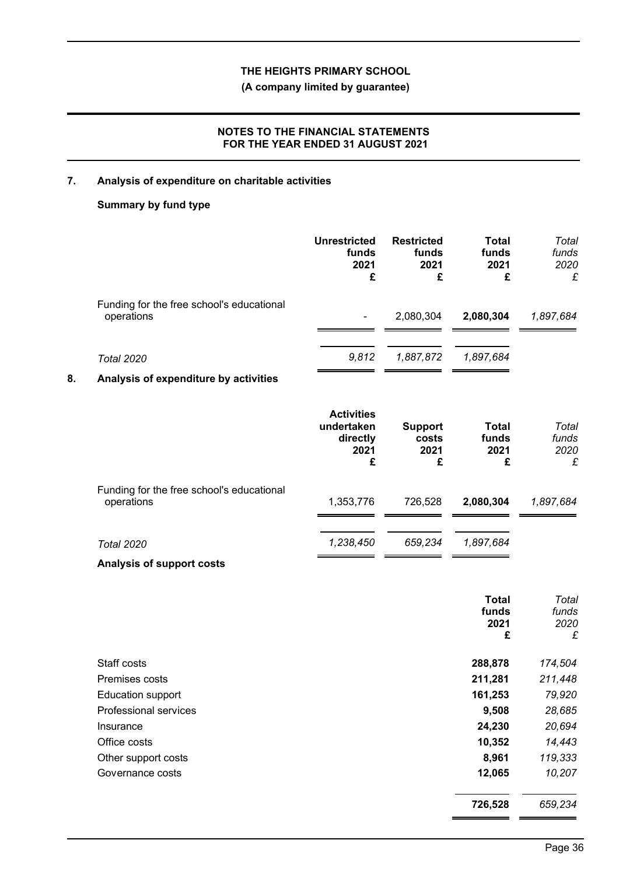# **(A company limited by guarantee)**

# **NOTES TO THE FINANCIAL STATEMENTS FOR THE YEAR ENDED 31 AUGUST 2021**

# **7. Analysis of expenditure on charitable activities**

# **Summary by fund type**

|                                                         | <b>Unrestricted</b><br>funds<br>2021<br>£ | <b>Restricted</b><br>funds<br>2021<br>£ | <b>Total</b><br>funds<br>2021<br>£ | Total<br>funds<br>2020<br>£ |
|---------------------------------------------------------|-------------------------------------------|-----------------------------------------|------------------------------------|-----------------------------|
| Funding for the free school's educational<br>operations | $\overline{\phantom{0}}$                  | 2,080,304                               | 2,080,304                          | 1,897,684                   |
| <b>Total 2020</b>                                       | 9.812                                     | 1,887,872                               | 1,897,684                          |                             |
| American in the comparable can be considered            |                                           |                                         |                                    |                             |

# **8. Analysis of expenditure by activities**

|                                                         | <b>Activities</b><br>undertaken<br>directly<br>2021<br>£ | <b>Support</b><br>costs<br>2021<br>£ | Total<br>funds<br>2021<br>£ | Total<br>funds<br>2020<br>£ |
|---------------------------------------------------------|----------------------------------------------------------|--------------------------------------|-----------------------------|-----------------------------|
| Funding for the free school's educational<br>operations | 1,353,776                                                | 726,528                              | 2,080,304                   | 1,897,684                   |
| Total 2020                                              | 1,238,450                                                | 659,234                              | 1,897,684                   |                             |

# **Analysis of support costs**

| funds<br>2020<br>£ |
|--------------------|
| 174,504            |
| 211,448            |
| 79,920             |
| 28,685             |
| 20,694             |
| 14,443             |
| 119,333            |
| 10,207             |
| 659,234            |
|                    |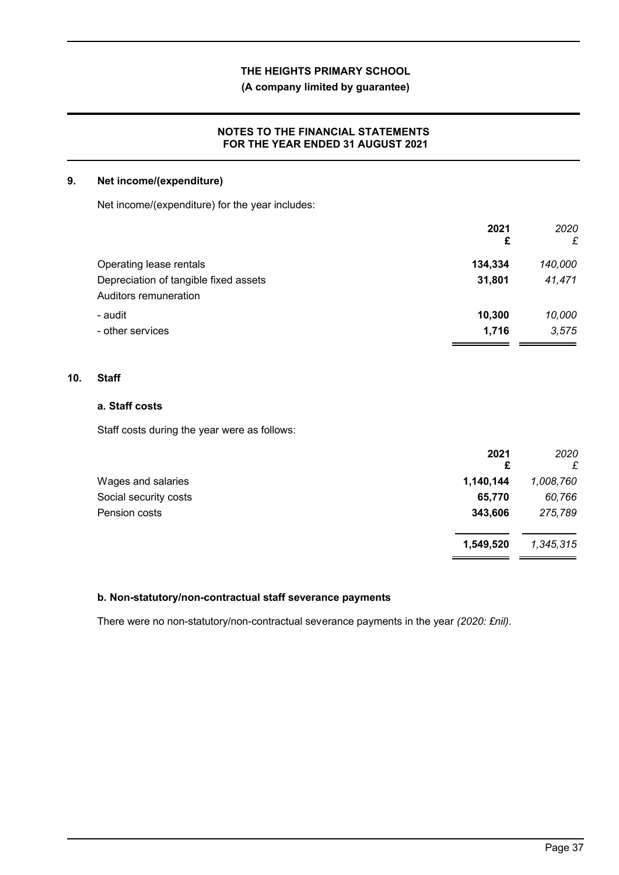# **(A company limited by guarantee)**

# **NOTES TO THE FINANCIAL STATEMENTS FOR THE YEAR ENDED 31 AUGUST 2021**

### **9. Net income/(expenditure)**

Net income/(expenditure) for the year includes:

|                                                                | 2021<br>£ | 2020<br>£ |
|----------------------------------------------------------------|-----------|-----------|
| Operating lease rentals                                        | 134,334   | 140,000   |
| Depreciation of tangible fixed assets<br>Auditors remuneration | 31,801    | 41,471    |
| - audit                                                        | 10,300    | 10,000    |
| - other services                                               | 1,716     | 3.575     |

# **10. Staff**

### **a. Staff costs**

Staff costs during the year were as follows:

|                       | 2021<br>£ | 2020<br>£ |
|-----------------------|-----------|-----------|
| Wages and salaries    | 1,140,144 | 1,008,760 |
| Social security costs | 65,770    | 60,766    |
| Pension costs         | 343,606   | 275,789   |
|                       | 1,549,520 | 1,345,315 |

## **b. Non-statutory/non-contractual staff severance payments**

There were no non-statutory/non-contractual severance payments in the year *(2020: £nil)*.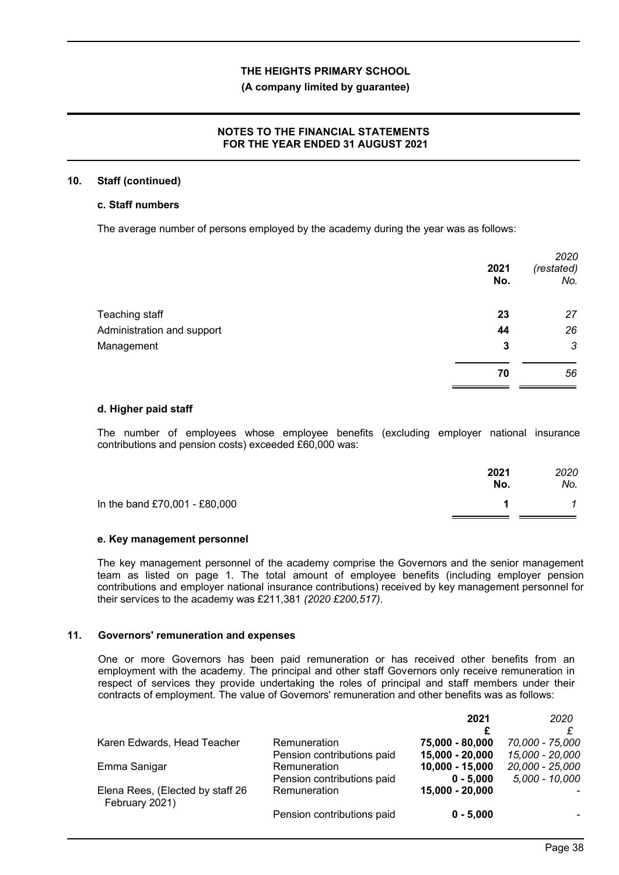### **(A company limited by guarantee)**

# **NOTES TO THE FINANCIAL STATEMENTS FOR THE YEAR ENDED 31 AUGUST 2021**

#### **10. Staff (continued)**

#### **c. Staff numbers**

The average number of persons employed by the academy during the year was as follows:

|                            | 2021<br>No. | 2020<br>(restated)<br>No. |
|----------------------------|-------------|---------------------------|
| Teaching staff             | 23          | 27                        |
| Administration and support | 44          | 26                        |
| Management                 | 3           | $\mathcal{S}$             |
|                            | 70          | 56                        |

#### **d. Higher paid staff**

The number of employees whose employee benefits (excluding employer national insurance contributions and pension costs) exceeded £60,000 was:

|                               | 2021<br>No. | 2020<br>No. |
|-------------------------------|-------------|-------------|
| In the band £70,001 - £80,000 |             | 1           |

#### **e. Key management personnel**

The key management personnel of the academy comprise the Governors and the senior management team as listed on page 1. The total amount of employee benefits (including employer pension contributions and employer national insurance contributions) received by key management personnel for their services to the academy was £211,381 *(2020 £200,517)*.

#### **11. Governors' remuneration and expenses**

One or more Governors has been paid remuneration or has received other benefits from an employment with the academy. The principal and other staff Governors only receive remuneration in respect of services they provide undertaking the roles of principal and staff members under their contracts of employment. The value of Governors' remuneration and other benefits was as follows:

|                                                    |                            | 2021              | 2020            |
|----------------------------------------------------|----------------------------|-------------------|-----------------|
|                                                    |                            |                   |                 |
| Karen Edwards, Head Teacher                        | Remuneration               | 75,000 - 80,000   | 70,000 - 75,000 |
|                                                    | Pension contributions paid | 15,000 - 20,000   | 15,000 - 20,000 |
| Emma Sanigar                                       | Remuneration               | $10,000 - 15,000$ | 20,000 - 25,000 |
|                                                    | Pension contributions paid | $0 - 5,000$       | 5,000 - 10,000  |
| Elena Rees, (Elected by staff 26<br>February 2021) | Remuneration               | 15,000 - 20,000   |                 |
|                                                    | Pension contributions paid | $0 - 5,000$       |                 |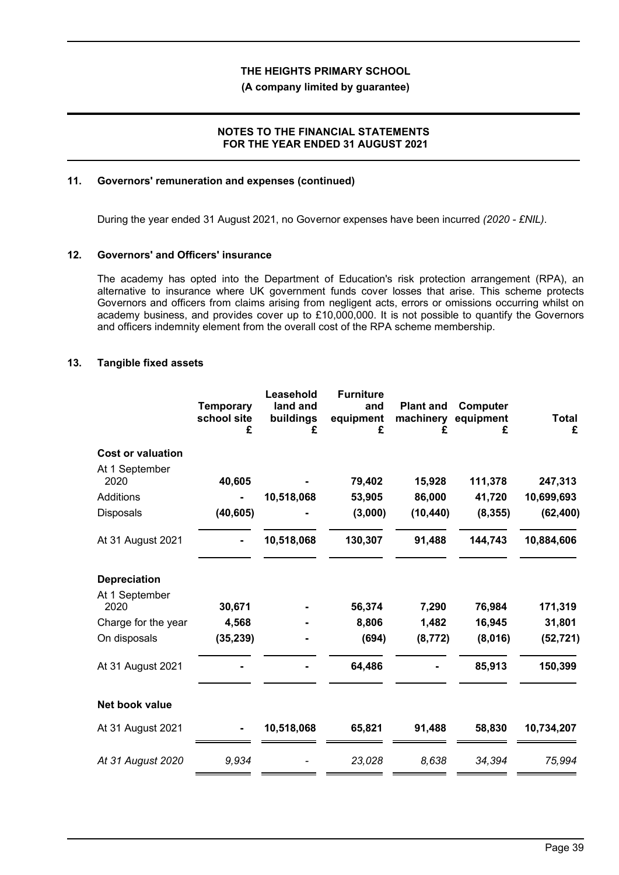#### **(A company limited by guarantee)**

#### **NOTES TO THE FINANCIAL STATEMENTS FOR THE YEAR ENDED 31 AUGUST 2021**

#### **11. Governors' remuneration and expenses (continued)**

During the year ended 31 August 2021, no Governor expenses have been incurred *(2020 - £NIL)*.

#### **12. Governors' and Officers' insurance**

The academy has opted into the Department of Education's risk protection arrangement (RPA), an alternative to insurance where UK government funds cover losses that arise. This scheme protects Governors and officers from claims arising from negligent acts, errors or omissions occurring whilst on academy business, and provides cover up to £10,000,000. It is not possible to quantify the Governors and officers indemnity element from the overall cost of the RPA scheme membership.

# **13. Tangible fixed assets**

|                          | <b>Temporary</b><br>school site<br>£ | Leasehold<br>land and<br>buildings<br>£ | <b>Furniture</b><br>and<br>equipment<br>£ | <b>Plant and</b><br>machinery<br>£ | Computer<br>equipment<br>£ | <b>Total</b><br>£ |
|--------------------------|--------------------------------------|-----------------------------------------|-------------------------------------------|------------------------------------|----------------------------|-------------------|
| <b>Cost or valuation</b> |                                      |                                         |                                           |                                    |                            |                   |
| At 1 September<br>2020   | 40,605                               |                                         | 79,402                                    | 15,928                             | 111,378                    | 247,313           |
| Additions                |                                      | 10,518,068                              | 53,905                                    | 86,000                             | 41,720                     | 10,699,693        |
| Disposals                | (40, 605)                            |                                         | (3,000)                                   | (10, 440)                          | (8, 355)                   | (62, 400)         |
| At 31 August 2021        |                                      | 10,518,068                              | 130,307                                   | 91,488                             | 144,743                    | 10,884,606        |
| <b>Depreciation</b>      |                                      |                                         |                                           |                                    |                            |                   |
| At 1 September<br>2020   | 30,671                               |                                         | 56,374                                    | 7,290                              | 76,984                     | 171,319           |
| Charge for the year      | 4,568                                |                                         | 8,806                                     | 1,482                              | 16,945                     | 31,801            |
| On disposals             | (35, 239)                            |                                         | (694)                                     | (8, 772)                           | (8,016)                    | (52, 721)         |
| At 31 August 2021        |                                      |                                         | 64,486                                    |                                    | 85,913                     | 150,399           |
| Net book value           |                                      |                                         |                                           |                                    |                            |                   |
| At 31 August 2021        |                                      | 10,518,068                              | 65,821                                    | 91,488                             | 58,830                     | 10,734,207        |
| At 31 August 2020        | 9,934                                |                                         | 23,028                                    | 8,638                              | 34,394                     | 75,994            |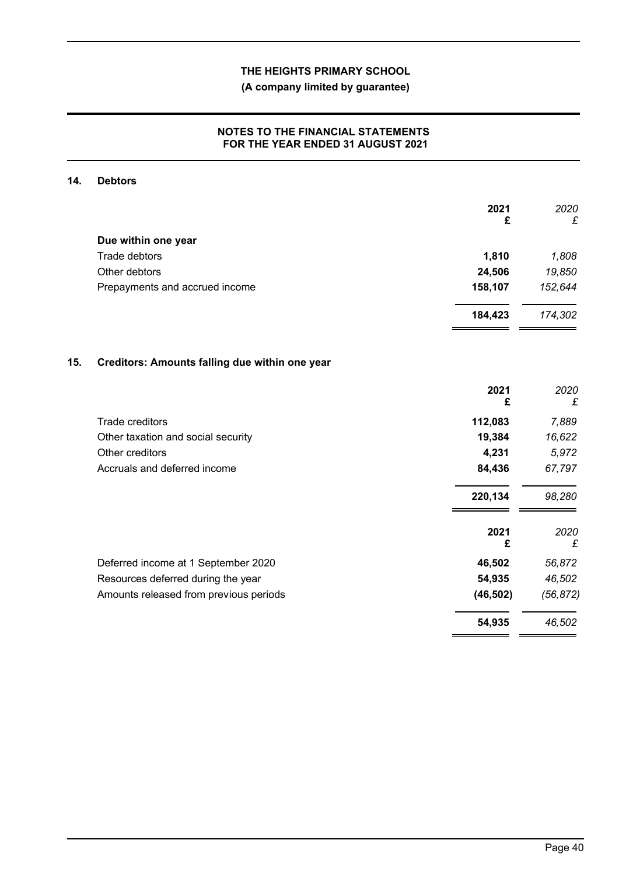**(A company limited by guarantee)**

# **NOTES TO THE FINANCIAL STATEMENTS FOR THE YEAR ENDED 31 AUGUST 2021**

# **14. Debtors**

|                                                | 2021<br>£ | 2020<br>£ |
|------------------------------------------------|-----------|-----------|
|                                                |           |           |
|                                                | 1,810     | 1,808     |
|                                                | 24,506    | 19,850    |
| Prepayments and accrued income                 | 158,107   | 152,644   |
|                                                | 184,423   | 174,302   |
| Creditors: Amounts falling due within one year |           |           |
|                                                | 2021<br>£ | 2020<br>£ |
|                                                | 112,083   | 7,889     |
| Other taxation and social security             | 19,384    | 16,622    |
|                                                | 4,231     | 5,972     |
| Accruals and deferred income                   | 84,436    | 67,797    |
|                                                | 220,134   | 98,280    |
|                                                | 2021<br>£ | 2020<br>£ |
| Deferred income at 1 September 2020            | 46,502    | 56,872    |
| Resources deferred during the year             | 54,935    | 46,502    |
| Amounts released from previous periods         | (46, 502) | (56, 872) |
|                                                | 54,935    | 46,502    |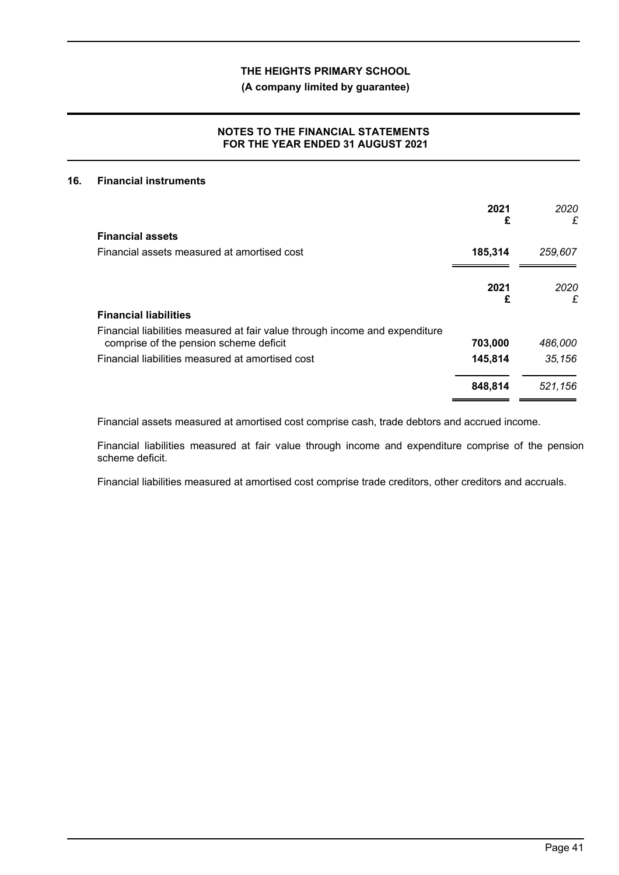**(A company limited by guarantee)**

# **NOTES TO THE FINANCIAL STATEMENTS FOR THE YEAR ENDED 31 AUGUST 2021**

#### **16. Financial instruments**

|                                                                                                                       | 2021<br>£ | 2020<br>£ |
|-----------------------------------------------------------------------------------------------------------------------|-----------|-----------|
| <b>Financial assets</b>                                                                                               |           |           |
| Financial assets measured at amortised cost                                                                           | 185,314   | 259,607   |
|                                                                                                                       | 2021<br>£ | 2020<br>£ |
| <b>Financial liabilities</b>                                                                                          |           |           |
| Financial liabilities measured at fair value through income and expenditure<br>comprise of the pension scheme deficit | 703,000   | 486,000   |
| Financial liabilities measured at amortised cost                                                                      | 145,814   | 35,156    |
|                                                                                                                       | 848,814   | 521,156   |

Financial assets measured at amortised cost comprise cash, trade debtors and accrued income.

Financial liabilities measured at fair value through income and expenditure comprise of the pension scheme deficit.

Financial liabilities measured at amortised cost comprise trade creditors, other creditors and accruals.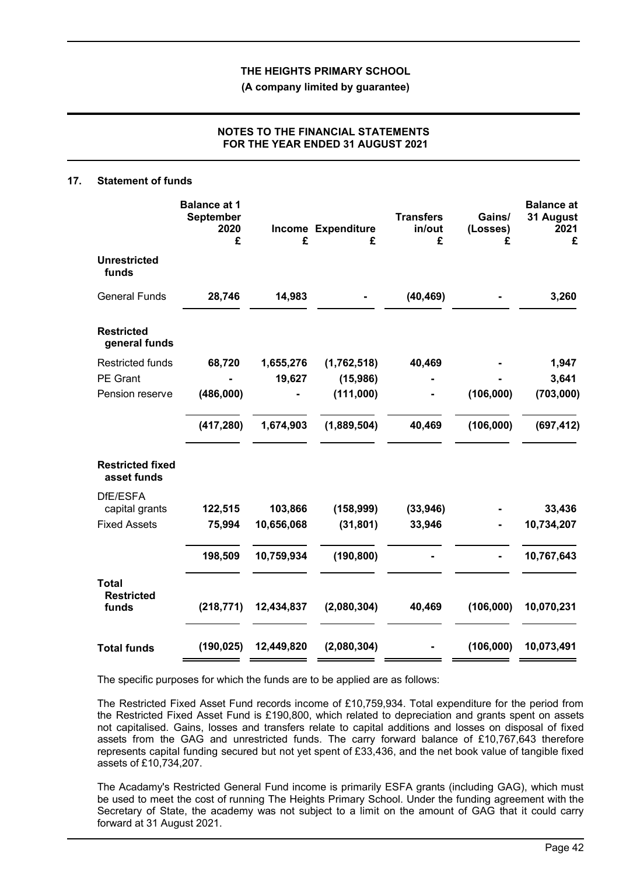**(A company limited by guarantee)**

# **NOTES TO THE FINANCIAL STATEMENTS FOR THE YEAR ENDED 31 AUGUST 2021**

#### **17. Statement of funds**

|                                            | <b>Balance at 1</b><br><b>September</b><br>2020<br>£ | £          | <b>Income Expenditure</b><br>£ | <b>Transfers</b><br>in/out<br>£ | Gains/<br>(Losses)<br>£ | <b>Balance at</b><br>31 August<br>2021<br>£ |
|--------------------------------------------|------------------------------------------------------|------------|--------------------------------|---------------------------------|-------------------------|---------------------------------------------|
| <b>Unrestricted</b><br>funds               |                                                      |            |                                |                                 |                         |                                             |
| <b>General Funds</b>                       | 28,746                                               | 14,983     |                                | (40, 469)                       |                         | 3,260                                       |
| <b>Restricted</b><br>general funds         |                                                      |            |                                |                                 |                         |                                             |
| Restricted funds                           | 68,720                                               | 1,655,276  | (1,762,518)                    | 40,469                          |                         | 1,947                                       |
| <b>PE</b> Grant                            |                                                      | 19,627     | (15,986)                       |                                 |                         | 3,641                                       |
| Pension reserve                            | (486,000)                                            |            | (111,000)                      |                                 | (106,000)               | (703,000)                                   |
|                                            | (417, 280)                                           | 1,674,903  | (1,889,504)                    | 40,469                          | (106,000)               | (697, 412)                                  |
| <b>Restricted fixed</b><br>asset funds     |                                                      |            |                                |                                 |                         |                                             |
| DfE/ESFA<br>capital grants                 | 122,515                                              | 103,866    | (158, 999)                     | (33, 946)                       |                         | 33,436                                      |
| <b>Fixed Assets</b>                        | 75,994                                               | 10,656,068 | (31, 801)                      | 33,946                          |                         | 10,734,207                                  |
|                                            | 198,509                                              | 10,759,934 | (190, 800)                     |                                 |                         | 10,767,643                                  |
| <b>Total</b><br><b>Restricted</b><br>funds | (218, 771)                                           | 12,434,837 | (2,080,304)                    | 40,469                          | (106,000)               | 10,070,231                                  |
| <b>Total funds</b>                         | (190, 025)                                           | 12,449,820 | (2,080,304)                    |                                 | (106,000)               | 10,073,491                                  |

The specific purposes for which the funds are to be applied are as follows:

The Restricted Fixed Asset Fund records income of £10,759,934. Total expenditure for the period from the Restricted Fixed Asset Fund is £190,800, which related to depreciation and grants spent on assets not capitalised. Gains, losses and transfers relate to capital additions and losses on disposal of fixed assets from the GAG and unrestricted funds. The carry forward balance of £10,767,643 therefore represents capital funding secured but not yet spent of £33,436, and the net book value of tangible fixed assets of £10,734,207.

The Acadamy's Restricted General Fund income is primarily ESFA grants (including GAG), which must be used to meet the cost of running The Heights Primary School. Under the funding agreement with the Secretary of State, the academy was not subject to a limit on the amount of GAG that it could carry forward at 31 August 2021.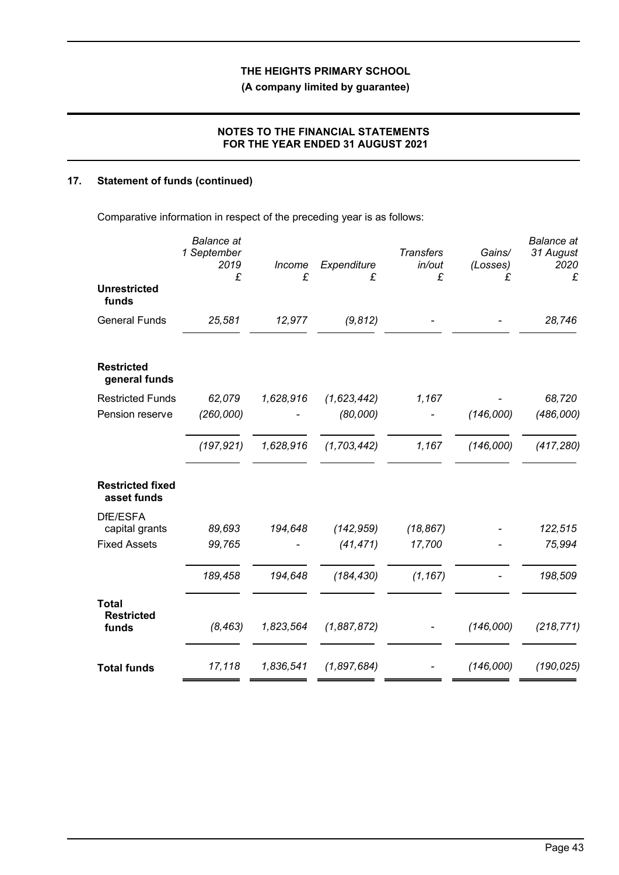**(A company limited by guarantee)**

# **NOTES TO THE FINANCIAL STATEMENTS FOR THE YEAR ENDED 31 AUGUST 2021**

# **17. Statement of funds (continued)**

Comparative information in respect of the preceding year is as follows:

|                                            | <b>Balance</b> at<br>1 September<br>2019<br>£ | Income<br>£ | Expenditure<br>£ | <b>Transfers</b><br>in/out<br>£ | Gains/<br>(Losses)<br>£ | <b>Balance</b> at<br>31 August<br>2020<br>£ |
|--------------------------------------------|-----------------------------------------------|-------------|------------------|---------------------------------|-------------------------|---------------------------------------------|
| <b>Unrestricted</b><br>funds               |                                               |             |                  |                                 |                         |                                             |
| <b>General Funds</b>                       | 25,581                                        | 12,977      | (9, 812)         |                                 |                         | 28,746                                      |
| <b>Restricted</b><br>general funds         |                                               |             |                  |                                 |                         |                                             |
| <b>Restricted Funds</b>                    | 62,079                                        | 1,628,916   | (1,623,442)      | 1,167                           |                         | 68,720                                      |
| Pension reserve                            | (260,000)                                     |             | (80,000)         |                                 | (146,000)               | (486,000)                                   |
|                                            | (197, 921)                                    | 1,628,916   | (1,703,442)      | 1,167                           | (146,000)               | (417, 280)                                  |
| <b>Restricted fixed</b><br>asset funds     |                                               |             |                  |                                 |                         |                                             |
| DfE/ESFA<br>capital grants                 | 89,693                                        | 194,648     | (142, 959)       | (18, 867)                       |                         | 122,515                                     |
| <b>Fixed Assets</b>                        | 99,765                                        |             | (41, 471)        | 17,700                          |                         | 75,994                                      |
|                                            | 189,458                                       | 194,648     | (184, 430)       | (1, 167)                        |                         | 198,509                                     |
| <b>Total</b><br><b>Restricted</b><br>funds | (8, 463)                                      | 1,823,564   | (1,887,872)      |                                 | (146,000)               | (218, 771)                                  |
| <b>Total funds</b>                         | 17,118                                        | 1,836,541   | (1,897,684)      |                                 | (146,000)               | (190, 025)                                  |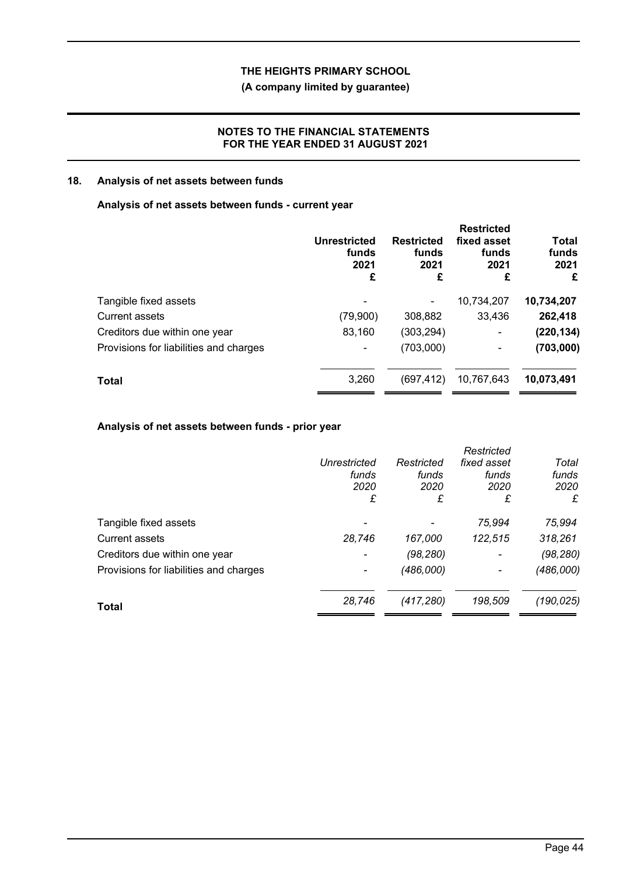# **(A company limited by guarantee)**

# **NOTES TO THE FINANCIAL STATEMENTS FOR THE YEAR ENDED 31 AUGUST 2021**

# **18. Analysis of net assets between funds**

# **Analysis of net assets between funds - current year**

|                                        | Unrestricted<br>funds<br>2021<br>£ | <b>Restricted</b><br>funds<br>2021<br>£ | <b>Restricted</b><br>fixed asset<br>funds<br>2021<br>£ | Total<br>funds<br>2021<br>£ |
|----------------------------------------|------------------------------------|-----------------------------------------|--------------------------------------------------------|-----------------------------|
| Tangible fixed assets                  |                                    |                                         | 10,734,207                                             | 10,734,207                  |
| <b>Current assets</b>                  | (79,900)                           | 308,882                                 | 33,436                                                 | 262,418                     |
| Creditors due within one year          | 83,160                             | (303, 294)                              | $\blacksquare$                                         | (220, 134)                  |
| Provisions for liabilities and charges |                                    | (703,000)                               | $\qquad \qquad \blacksquare$                           | (703,000)                   |
| <b>Total</b>                           | 3,260                              | (697,412)                               | 10,767,643                                             | 10,073,491                  |

# **Analysis of net assets between funds - prior year**

|                                        |              |            | Restricted               |            |
|----------------------------------------|--------------|------------|--------------------------|------------|
|                                        | Unrestricted | Restricted | fixed asset              | Total      |
|                                        | funds        | funds      | funds                    | funds      |
|                                        | 2020         | 2020       | 2020                     | 2020       |
|                                        | £            | £          | £                        | £          |
| Tangible fixed assets                  |              |            | 75,994                   | 75,994     |
| <b>Current assets</b>                  | 28,746       | 167,000    | 122,515                  | 318,261    |
| Creditors due within one year          |              | (98,280)   | $\overline{\phantom{a}}$ | (98,280)   |
| Provisions for liabilities and charges |              | (486,000)  |                          | (486,000)  |
| <b>Total</b>                           | 28,746       | (417, 280) | 198,509                  | (190, 025) |
|                                        |              |            |                          |            |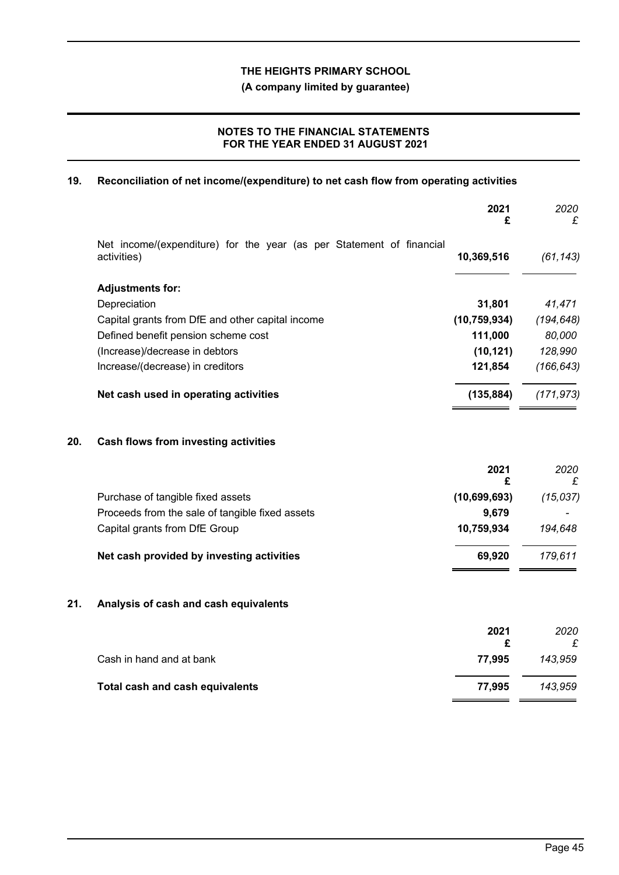**(A company limited by guarantee)**

# **NOTES TO THE FINANCIAL STATEMENTS FOR THE YEAR ENDED 31 AUGUST 2021**

# **19. Reconciliation of net income/(expenditure) to net cash flow from operating activities**

|     |                                                                                     | 2021<br>£      | 2020<br>£  |
|-----|-------------------------------------------------------------------------------------|----------------|------------|
|     | Net income/(expenditure) for the year (as per Statement of financial<br>activities) | 10,369,516     | (61, 143)  |
|     | <b>Adjustments for:</b>                                                             |                |            |
|     | Depreciation                                                                        | 31,801         | 41,471     |
|     | Capital grants from DfE and other capital income                                    | (10, 759, 934) | (194, 648) |
|     | Defined benefit pension scheme cost                                                 | 111,000        | 80,000     |
|     | (Increase)/decrease in debtors                                                      | (10, 121)      | 128,990    |
|     | Increase/(decrease) in creditors                                                    | 121,854        | (166, 643) |
|     | Net cash used in operating activities                                               | (135, 884)     | (171, 973) |
| 20. | Cash flows from investing activities                                                |                |            |
|     |                                                                                     | 2021<br>£      | 2020<br>£  |
|     | Purchase of tangible fixed assets                                                   | (10,699,693)   | (15, 037)  |
|     | Proceeds from the sale of tangible fixed assets                                     | 9,679          |            |
|     | Capital grants from DfE Group                                                       | 10,759,934     | 194,648    |
|     | Net cash provided by investing activities                                           | 69,920         | 179,611    |
| 21. | Analysis of cash and cash equivalents                                               |                |            |
|     |                                                                                     | 2021<br>£      | 2020<br>£  |
|     | Cash in hand and at bank                                                            | 77,995         | 143,959    |
|     | <b>Total cash and cash equivalents</b>                                              | 77,995         | 143,959    |

 $=$   $=$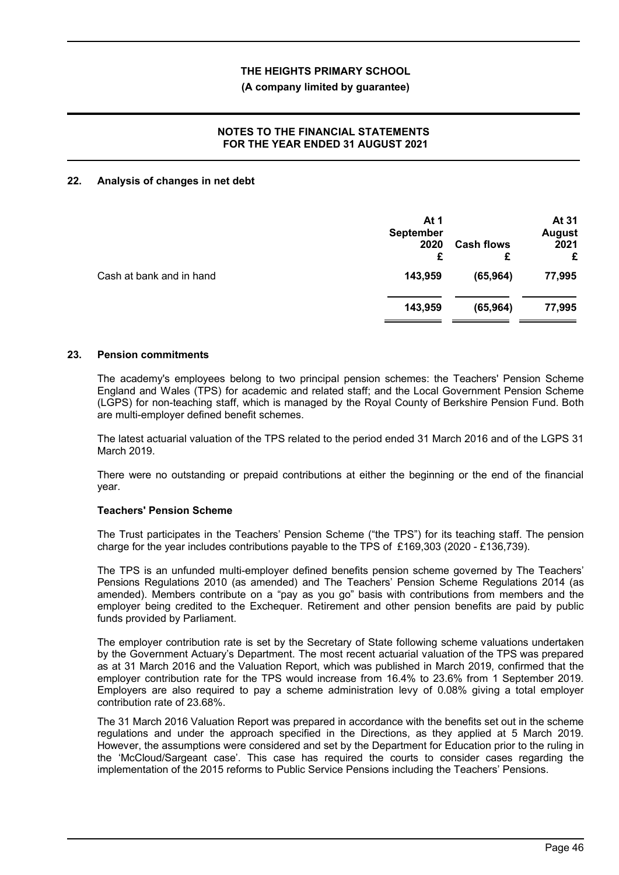## **(A company limited by guarantee)**

# **NOTES TO THE FINANCIAL STATEMENTS FOR THE YEAR ENDED 31 AUGUST 2021**

#### **22. Analysis of changes in net debt**

|                          | At 1<br><b>September</b><br>2020<br>£ | <b>Cash flows</b><br>£ | At 31<br><b>August</b><br>2021<br>£ |
|--------------------------|---------------------------------------|------------------------|-------------------------------------|
| Cash at bank and in hand | 143,959                               | (65, 964)              | 77,995                              |
|                          | 143,959                               | (65, 964)              | 77,995                              |

#### **23. Pension commitments**

The academy's employees belong to two principal pension schemes: the Teachers' Pension Scheme England and Wales (TPS) for academic and related staff; and the Local Government Pension Scheme (LGPS) for non-teaching staff, which is managed by the Royal County of Berkshire Pension Fund. Both are multi-employer defined benefit schemes.

The latest actuarial valuation of the TPS related to the period ended 31 March 2016 and of the LGPS 31 March 2019.

There were no outstanding or prepaid contributions at either the beginning or the end of the financial year.

## **Teachers' Pension Scheme**

The Trust participates in the Teachers' Pension Scheme ("the TPS") for its teaching staff. The pension charge for the year includes contributions payable to the TPS of £169,303 (2020 - £136,739).

The TPS is an unfunded multi-employer defined benefits pension scheme governed by The Teachers' Pensions Regulations 2010 (as amended) and The Teachers' Pension Scheme Regulations 2014 (as amended). Members contribute on a "pay as you go" basis with contributions from members and the employer being credited to the Exchequer. Retirement and other pension benefits are paid by public funds provided by Parliament.

The employer contribution rate is set by the Secretary of State following scheme valuations undertaken by the Government Actuary's Department. The most recent actuarial valuation of the TPS was prepared as at 31 March 2016 and the Valuation Report, which was published in March 2019, confirmed that the employer contribution rate for the TPS would increase from 16.4% to 23.6% from 1 September 2019. Employers are also required to pay a scheme administration levy of 0.08% giving a total employer contribution rate of 23.68%.

The 31 March 2016 Valuation Report was prepared in accordance with the benefits set out in the scheme regulations and under the approach specified in the Directions, as they applied at 5 March 2019. However, the assumptions were considered and set by the Department for Education prior to the ruling in the 'McCloud/Sargeant case'. This case has required the courts to consider cases regarding the implementation of the 2015 reforms to Public Service Pensions including the Teachers' Pensions.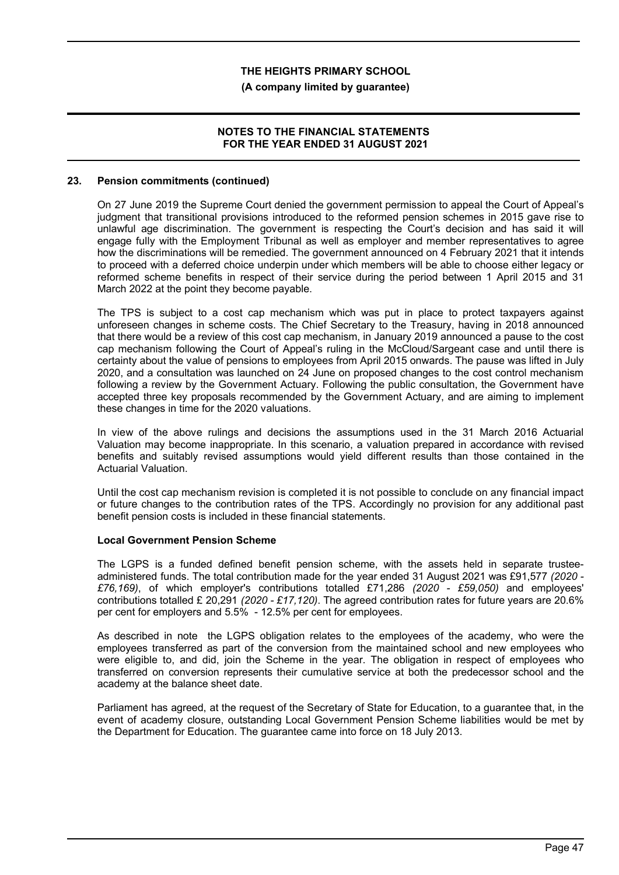#### **(A company limited by guarantee)**

### **NOTES TO THE FINANCIAL STATEMENTS FOR THE YEAR ENDED 31 AUGUST 2021**

#### **23. Pension commitments (continued)**

On 27 June 2019 the Supreme Court denied the government permission to appeal the Court of Appeal's judgment that transitional provisions introduced to the reformed pension schemes in 2015 gave rise to unlawful age discrimination. The government is respecting the Court's decision and has said it will engage fully with the Employment Tribunal as well as employer and member representatives to agree how the discriminations will be remedied. The government announced on 4 February 2021 that it intends to proceed with a deferred choice underpin under which members will be able to choose either legacy or reformed scheme benefits in respect of their service during the period between 1 April 2015 and 31 March 2022 at the point they become payable.

The TPS is subject to a cost cap mechanism which was put in place to protect taxpayers against unforeseen changes in scheme costs. The Chief Secretary to the Treasury, having in 2018 announced that there would be a review of this cost cap mechanism, in January 2019 announced a pause to the cost cap mechanism following the Court of Appeal's ruling in the McCloud/Sargeant case and until there is certainty about the value of pensions to employees from April 2015 onwards. The pause was lifted in July 2020, and a consultation was launched on 24 June on proposed changes to the cost control mechanism following a review by the Government Actuary. Following the public consultation, the Government have accepted three key proposals recommended by the Government Actuary, and are aiming to implement these changes in time for the 2020 valuations.

In view of the above rulings and decisions the assumptions used in the 31 March 2016 Actuarial Valuation may become inappropriate. In this scenario, a valuation prepared in accordance with revised benefits and suitably revised assumptions would yield different results than those contained in the Actuarial Valuation.

Until the cost cap mechanism revision is completed it is not possible to conclude on any financial impact or future changes to the contribution rates of the TPS. Accordingly no provision for any additional past benefit pension costs is included in these financial statements.

## **Local Government Pension Scheme**

The LGPS is a funded defined benefit pension scheme, with the assets held in separate trusteeadministered funds. The total contribution made for the year ended 31 August 2021 was £91,577 *(2020 - £76,169)*, of which employer's contributions totalled £71,286 *(2020 - £59,050)* and employees' contributions totalled £ 20,291 *(2020 - £17,120)*. The agreed contribution rates for future years are 20.6% per cent for employers and 5.5% - 12.5% per cent for employees.

As described in note the LGPS obligation relates to the employees of the academy, who were the employees transferred as part of the conversion from the maintained school and new employees who were eligible to, and did, join the Scheme in the year. The obligation in respect of employees who transferred on conversion represents their cumulative service at both the predecessor school and the academy at the balance sheet date.

Parliament has agreed, at the request of the Secretary of State for Education, to a guarantee that, in the event of academy closure, outstanding Local Government Pension Scheme liabilities would be met by the Department for Education. The guarantee came into force on 18 July 2013.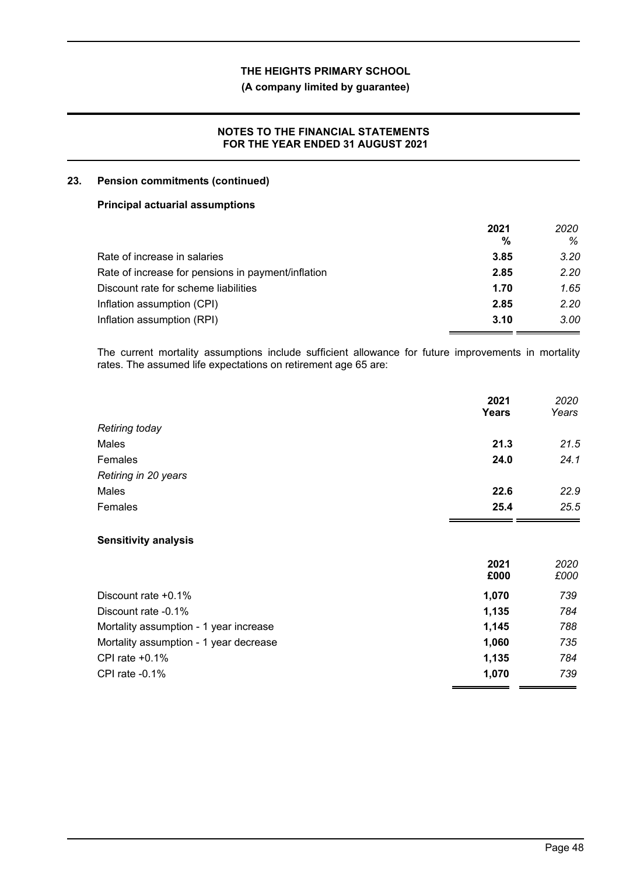# **(A company limited by guarantee)**

# **NOTES TO THE FINANCIAL STATEMENTS FOR THE YEAR ENDED 31 AUGUST 2021**

# **23. Pension commitments (continued)**

## **Principal actuarial assumptions**

|                                                    | 2021 | 2020 |
|----------------------------------------------------|------|------|
|                                                    | %    | %    |
| Rate of increase in salaries                       | 3.85 | 3.20 |
| Rate of increase for pensions in payment/inflation | 2.85 | 2.20 |
| Discount rate for scheme liabilities               | 1.70 | 1.65 |
| Inflation assumption (CPI)                         | 2.85 | 2.20 |
| Inflation assumption (RPI)                         | 3.10 | 3.00 |

The current mortality assumptions include sufficient allowance for future improvements in mortality rates. The assumed life expectations on retirement age 65 are:

|                       | 2021<br>Years | 2020<br>Years |
|-----------------------|---------------|---------------|
| <b>Retiring today</b> |               |               |
| Males                 | 21.3          | 21.5          |
| Females               | 24.0          | 24.1          |
| Retiring in 20 years  |               |               |
| Males                 | 22.6          | 22.9          |
| Females               | 25.4          | 25.5          |

# **Sensitivity analysis**

|                                        | 2021<br>£000 | 2020<br>£000 |
|----------------------------------------|--------------|--------------|
| Discount rate $+0.1\%$                 | 1,070        | 739          |
| Discount rate -0.1%                    | 1,135        | 784          |
| Mortality assumption - 1 year increase | 1,145        | 788          |
| Mortality assumption - 1 year decrease | 1,060        | 735          |
| CPI rate $+0.1\%$                      | 1,135        | 784          |
| CPI rate $-0.1\%$                      | 1.070        | 739          |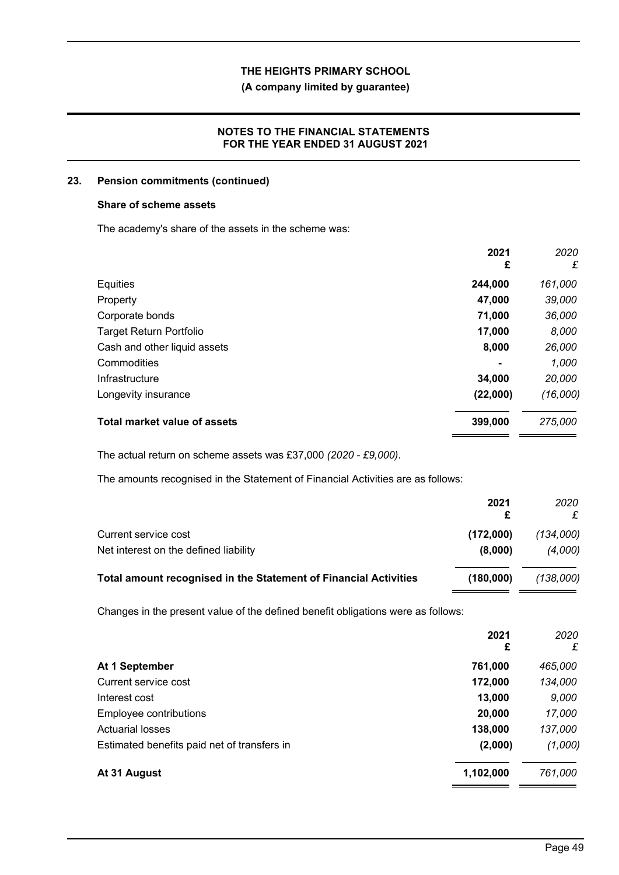# **(A company limited by guarantee)**

# **NOTES TO THE FINANCIAL STATEMENTS FOR THE YEAR ENDED 31 AUGUST 2021**

### **23. Pension commitments (continued)**

# **Share of scheme assets**

The academy's share of the assets in the scheme was:

|                                     | 2021<br>£ | 2020<br>£ |
|-------------------------------------|-----------|-----------|
| Equities                            | 244,000   | 161,000   |
| Property                            | 47,000    | 39,000    |
| Corporate bonds                     | 71,000    | 36,000    |
| <b>Target Return Portfolio</b>      | 17,000    | 8,000     |
| Cash and other liquid assets        | 8,000     | 26,000    |
| Commodities                         |           | 1,000     |
| Infrastructure                      | 34,000    | 20,000    |
| Longevity insurance                 | (22,000)  | (16,000)  |
| <b>Total market value of assets</b> | 399,000   | 275,000   |

The actual return on scheme assets was £37,000 *(2020 - £9,000)*.

The amounts recognised in the Statement of Financial Activities are as follows:

|                                                                                  | 2021<br>£ | 2020<br>£ |
|----------------------------------------------------------------------------------|-----------|-----------|
| Current service cost                                                             | (172,000) | (134,000) |
| Net interest on the defined liability                                            | (8,000)   | (4,000)   |
| <b>Total amount recognised in the Statement of Financial Activities</b>          | (180,000) | (138,000) |
| Changes in the present value of the defined benefit obligations were as follows: |           |           |
|                                                                                  | 2021<br>£ | 2020<br>£ |
| At 1 September                                                                   | 761,000   | 465,000   |
| Current service cost                                                             | 172,000   | 134,000   |
| Interest cost                                                                    | 13,000    | 9,000     |
| Employee contributions                                                           | 20,000    | 17,000    |
| <b>Actuarial losses</b>                                                          | 138,000   | 137,000   |
| Estimated benefits paid net of transfers in                                      | (2,000)   | (1,000)   |
| At 31 August                                                                     | 1,102,000 | 761,000   |